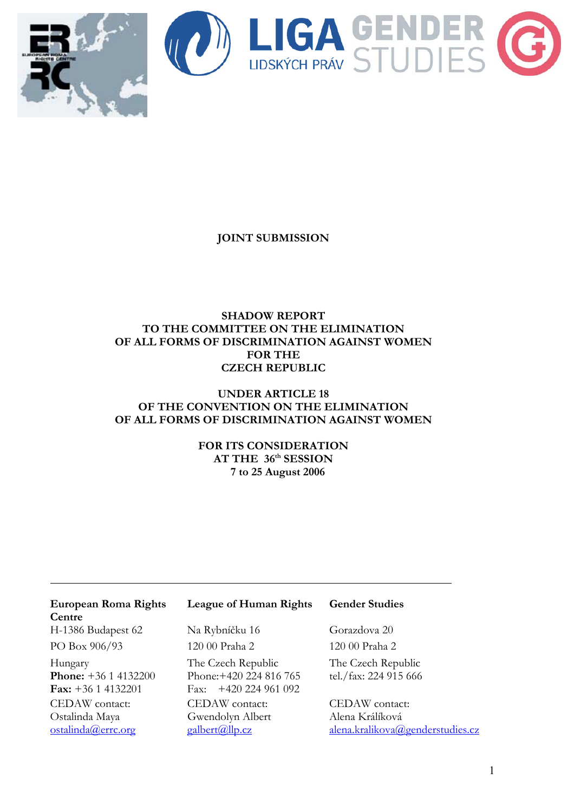

**JOINT SUBMISSION** 

# **SHADOW REPORT TO THE COMMITTEE ON THE ELIMINATION OF ALL FORMS OF DISCRIMINATION AGAINST WOMEN FOR THE CZECH REPUBLIC**

## **UNDER ARTICLE 18 OF THE CONVENTION ON THE ELIMINATION OF ALL FORMS OF DISCRIMINATION AGAINST WOMEN**

# **FOR ITS CONSIDERATION AT THE 36th SESSION 7 to 25 August 2006**

| European Roma Rights<br>Centre | League of Human Rights           | <b>Gender Studies</b>            |
|--------------------------------|----------------------------------|----------------------------------|
|                                |                                  |                                  |
| H-1386 Budapest 62             | Na Rybníčku 16                   | Gorazdova 20                     |
| PO Box 906/93                  | 120 00 Praha 2                   | 120 00 Praha 2                   |
| Hungary                        | The Czech Republic               | The Czech Republic               |
| <b>Phone:</b> $+36$ 1 4132200  | Phone: +420 224 816 765          | tel./fax: 224 915 666            |
| <b>Fax:</b> $+36$ 1 4132201    | Fax: $+420$ 224 961 092          |                                  |
| CEDAW contact:                 | CEDAW contact:                   | CEDAW contact:                   |
| Ostalinda Maya                 | Gwendolyn Albert                 | Alena Králíková                  |
| ostalinda@errc.org             | $\text{galbert}(\text{Qllp.cz})$ | alena.kralikova@genderstudies.cz |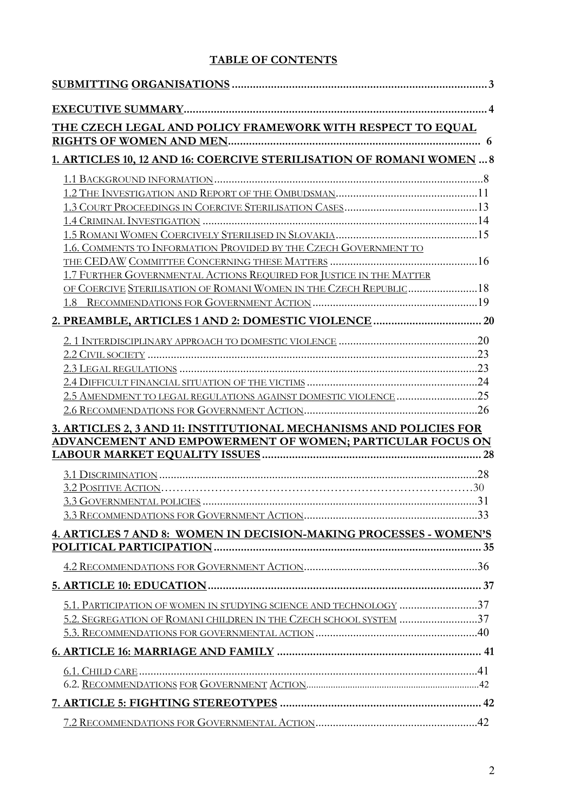# **TABLE OF CONTENTS**

| THE CZECH LEGAL AND POLICY FRAMEWORK WITH RESPECT TO EQUAL           |  |  |
|----------------------------------------------------------------------|--|--|
|                                                                      |  |  |
| 1. ARTICLES 10, 12 AND 16: COERCIVE STERILISATION OF ROMANI WOMEN  8 |  |  |
|                                                                      |  |  |
|                                                                      |  |  |
|                                                                      |  |  |
|                                                                      |  |  |
|                                                                      |  |  |
| 1.6. COMMENTS TO INFORMATION PROVIDED BY THE CZECH GOVERNMENT TO     |  |  |
| 1.7 FURTHER GOVERNMENTAL ACTIONS REQUIRED FOR JUSTICE IN THE MATTER  |  |  |
| OF COERCIVE STERILISATION OF ROMANI WOMEN IN THE CZECH REPUBLIC18    |  |  |
|                                                                      |  |  |
|                                                                      |  |  |
|                                                                      |  |  |
|                                                                      |  |  |
|                                                                      |  |  |
|                                                                      |  |  |
| 2.5 AMENDMENT TO LEGAL REGULATIONS AGAINST DOMESTIC VIOLENCE 25      |  |  |
|                                                                      |  |  |
| 3. ARTICLES 2, 3 AND 11: INSTITUTIONAL MECHANISMS AND POLICIES FOR   |  |  |
| ADVANCEMENT AND EMPOWERMENT OF WOMEN; PARTICULAR FOCUS ON            |  |  |
|                                                                      |  |  |
|                                                                      |  |  |
|                                                                      |  |  |
|                                                                      |  |  |
| 4. ARTICLES 7 AND 8: WOMEN IN DECISION-MAKING PROCESSES - WOMEN'S    |  |  |
|                                                                      |  |  |
|                                                                      |  |  |
|                                                                      |  |  |
| 5.1. PARTICIPATION OF WOMEN IN STUDYING SCIENCE AND TECHNOLOGY 37    |  |  |
| 5.2. SEGREGATION OF ROMANI CHILDREN IN THE CZECH SCHOOL SYSTEM 37    |  |  |
|                                                                      |  |  |
|                                                                      |  |  |
|                                                                      |  |  |
|                                                                      |  |  |
|                                                                      |  |  |
|                                                                      |  |  |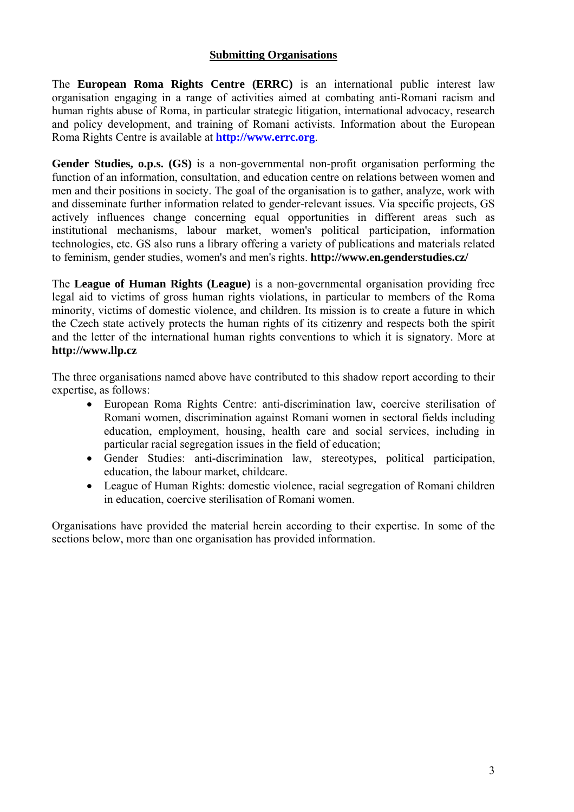# **Submitting Organisations**

The **European Roma Rights Centre (ERRC)** is an international public interest law organisation engaging in a range of activities aimed at combating anti-Romani racism and human rights abuse of Roma, in particular strategic litigation, international advocacy, research and policy development, and training of Romani activists. Information about the European Roma Rights Centre is available at **http://www.errc.org**.

**Gender Studies, o.p.s. (GS)** is a non-governmental non-profit organisation performing the function of an information, consultation, and education centre on relations between women and men and their positions in society. The goal of the organisation is to gather, analyze, work with and disseminate further information related to gender-relevant issues. Via specific projects, GS actively influences change concerning equal opportunities in different areas such as institutional mechanisms, labour market, women's political participation, information technologies, etc. GS also runs a library offering a variety of publications and materials related to feminism, gender studies, women's and men's rights. **http://www.en.genderstudies.cz/**

The **League of Human Rights (League)** is a non-governmental organisation providing free legal aid to victims of gross human rights violations, in particular to members of the Roma minority, victims of domestic violence, and children. Its mission is to create a future in which the Czech state actively protects the human rights of its citizenry and respects both the spirit and the letter of the international human rights conventions to which it is signatory. More at **http://www.llp.cz**

The three organisations named above have contributed to this shadow report according to their expertise, as follows:

- European Roma Rights Centre: anti-discrimination law, coercive sterilisation of Romani women, discrimination against Romani women in sectoral fields including education, employment, housing, health care and social services, including in particular racial segregation issues in the field of education;
- Gender Studies: anti-discrimination law, stereotypes, political participation, education, the labour market, childcare.
- League of Human Rights: domestic violence, racial segregation of Romani children in education, coercive sterilisation of Romani women.

Organisations have provided the material herein according to their expertise. In some of the sections below, more than one organisation has provided information.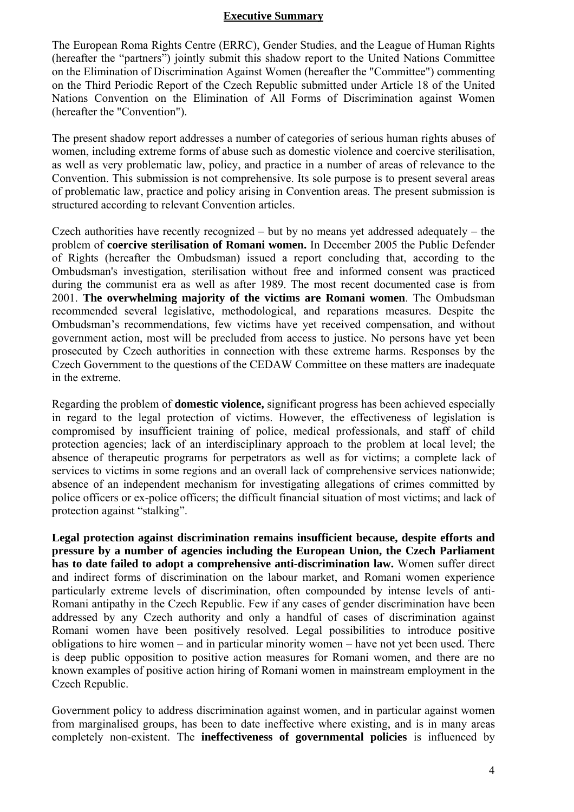#### **Executive Summary**

The European Roma Rights Centre (ERRC), Gender Studies, and the League of Human Rights (hereafter the "partners") jointly submit this shadow report to the United Nations Committee on the Elimination of Discrimination Against Women (hereafter the "Committee") commenting on the Third Periodic Report of the Czech Republic submitted under Article 18 of the United Nations Convention on the Elimination of All Forms of Discrimination against Women (hereafter the "Convention").

The present shadow report addresses a number of categories of serious human rights abuses of women, including extreme forms of abuse such as domestic violence and coercive sterilisation, as well as very problematic law, policy, and practice in a number of areas of relevance to the Convention. This submission is not comprehensive. Its sole purpose is to present several areas of problematic law, practice and policy arising in Convention areas. The present submission is structured according to relevant Convention articles.

Czech authorities have recently recognized – but by no means yet addressed adequately – the problem of **coercive sterilisation of Romani women.** In December 2005 the Public Defender of Rights (hereafter the Ombudsman) issued a report concluding that, according to the Ombudsman's investigation, sterilisation without free and informed consent was practiced during the communist era as well as after 1989. The most recent documented case is from 2001. **The overwhelming majority of the victims are Romani women**. The Ombudsman recommended several legislative, methodological, and reparations measures. Despite the Ombudsman's recommendations, few victims have yet received compensation, and without government action, most will be precluded from access to justice. No persons have yet been prosecuted by Czech authorities in connection with these extreme harms. Responses by the Czech Government to the questions of the CEDAW Committee on these matters are inadequate in the extreme.

Regarding the problem of **domestic violence,** significant progress has been achieved especially in regard to the legal protection of victims. However, the effectiveness of legislation is compromised by insufficient training of police, medical professionals, and staff of child protection agencies; lack of an interdisciplinary approach to the problem at local level; the absence of therapeutic programs for perpetrators as well as for victims; a complete lack of services to victims in some regions and an overall lack of comprehensive services nationwide; absence of an independent mechanism for investigating allegations of crimes committed by police officers or ex-police officers; the difficult financial situation of most victims; and lack of protection against "stalking".

**Legal protection against discrimination remains insufficient because, despite efforts and pressure by a number of agencies including the European Union, the Czech Parliament has to date failed to adopt a comprehensive anti-discrimination law.** Women suffer direct and indirect forms of discrimination on the labour market, and Romani women experience particularly extreme levels of discrimination, often compounded by intense levels of anti-Romani antipathy in the Czech Republic. Few if any cases of gender discrimination have been addressed by any Czech authority and only a handful of cases of discrimination against Romani women have been positively resolved. Legal possibilities to introduce positive obligations to hire women – and in particular minority women – have not yet been used. There is deep public opposition to positive action measures for Romani women, and there are no known examples of positive action hiring of Romani women in mainstream employment in the Czech Republic.

Government policy to address discrimination against women, and in particular against women from marginalised groups, has been to date ineffective where existing, and is in many areas completely non-existent. The **ineffectiveness of governmental policies** is influenced by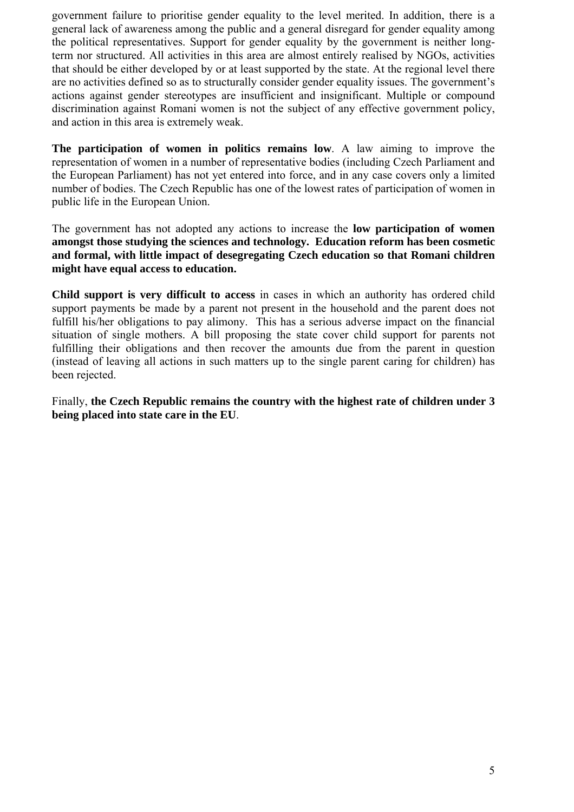government failure to prioritise gender equality to the level merited. In addition, there is a general lack of awareness among the public and a general disregard for gender equality among the political representatives. Support for gender equality by the government is neither longterm nor structured. All activities in this area are almost entirely realised by NGOs, activities that should be either developed by or at least supported by the state. At the regional level there are no activities defined so as to structurally consider gender equality issues. The government's actions against gender stereotypes are insufficient and insignificant. Multiple or compound discrimination against Romani women is not the subject of any effective government policy, and action in this area is extremely weak.

**The participation of women in politics remains low**. A law aiming to improve the representation of women in a number of representative bodies (including Czech Parliament and the European Parliament) has not yet entered into force, and in any case covers only a limited number of bodies. The Czech Republic has one of the lowest rates of participation of women in public life in the European Union.

The government has not adopted any actions to increase the **low participation of women amongst those studying the sciences and technology. Education reform has been cosmetic and formal, with little impact of desegregating Czech education so that Romani children might have equal access to education.**

**Child support is very difficult to access** in cases in which an authority has ordered child support payments be made by a parent not present in the household and the parent does not fulfill his/her obligations to pay alimony. This has a serious adverse impact on the financial situation of single mothers. A bill proposing the state cover child support for parents not fulfilling their obligations and then recover the amounts due from the parent in question (instead of leaving all actions in such matters up to the single parent caring for children) has been rejected.

Finally, **the Czech Republic remains the country with the highest rate of children under 3 being placed into state care in the EU**.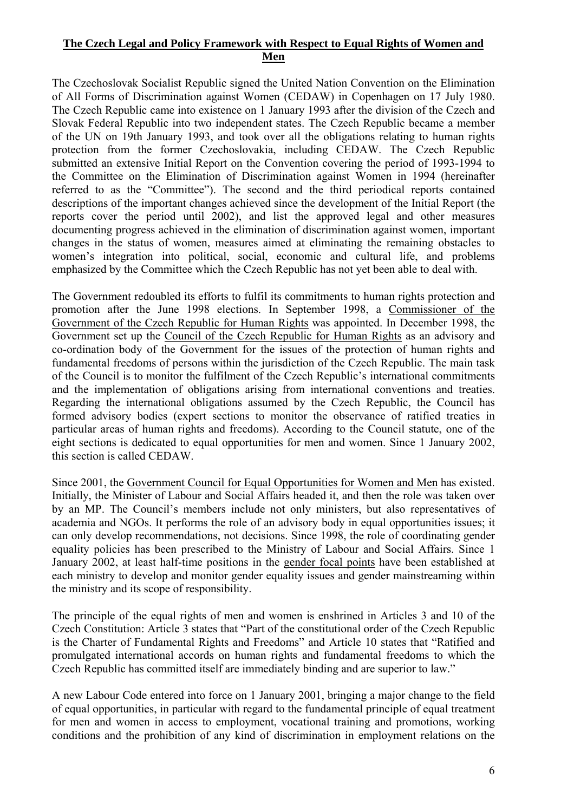# **The Czech Legal and Policy Framework with Respect to Equal Rights of Women and Men**

The Czechoslovak Socialist Republic signed the United Nation Convention on the Elimination of All Forms of Discrimination against Women (CEDAW) in Copenhagen on 17 July 1980. The Czech Republic came into existence on 1 January 1993 after the division of the Czech and Slovak Federal Republic into two independent states. The Czech Republic became a member of the UN on 19th January 1993, and took over all the obligations relating to human rights protection from the former Czechoslovakia, including CEDAW. The Czech Republic submitted an extensive Initial Report on the Convention covering the period of 1993-1994 to the Committee on the Elimination of Discrimination against Women in 1994 (hereinafter referred to as the "Committee"). The second and the third periodical reports contained descriptions of the important changes achieved since the development of the Initial Report (the reports cover the period until 2002), and list the approved legal and other measures documenting progress achieved in the elimination of discrimination against women, important changes in the status of women, measures aimed at eliminating the remaining obstacles to women's integration into political, social, economic and cultural life, and problems emphasized by the Committee which the Czech Republic has not yet been able to deal with.

The Government redoubled its efforts to fulfil its commitments to human rights protection and promotion after the June 1998 elections. In September 1998, a Commissioner of the Government of the Czech Republic for Human Rights was appointed. In December 1998, the Government set up the Council of the Czech Republic for Human Rights as an advisory and co-ordination body of the Government for the issues of the protection of human rights and fundamental freedoms of persons within the jurisdiction of the Czech Republic. The main task of the Council is to monitor the fulfilment of the Czech Republic's international commitments and the implementation of obligations arising from international conventions and treaties. Regarding the international obligations assumed by the Czech Republic, the Council has formed advisory bodies (expert sections to monitor the observance of ratified treaties in particular areas of human rights and freedoms). According to the Council statute, one of the eight sections is dedicated to equal opportunities for men and women. Since 1 January 2002, this section is called CEDAW.

Since 2001, the Government Council for Equal Opportunities for Women and Men has existed. Initially, the Minister of Labour and Social Affairs headed it, and then the role was taken over by an MP. The Council's members include not only ministers, but also representatives of academia and NGOs. It performs the role of an advisory body in equal opportunities issues; it can only develop recommendations, not decisions. Since 1998, the role of coordinating gender equality policies has been prescribed to the Ministry of Labour and Social Affairs. Since 1 January 2002, at least half-time positions in the gender focal points have been established at each ministry to develop and monitor gender equality issues and gender mainstreaming within the ministry and its scope of responsibility.

The principle of the equal rights of men and women is enshrined in Articles 3 and 10 of the Czech Constitution: Article 3 states that "Part of the constitutional order of the Czech Republic is the Charter of Fundamental Rights and Freedoms" and Article 10 states that "Ratified and promulgated international accords on human rights and fundamental freedoms to which the Czech Republic has committed itself are immediately binding and are superior to law."

A new Labour Code entered into force on 1 January 2001, bringing a major change to the field of equal opportunities, in particular with regard to the fundamental principle of equal treatment for men and women in access to employment, vocational training and promotions, working conditions and the prohibition of any kind of discrimination in employment relations on the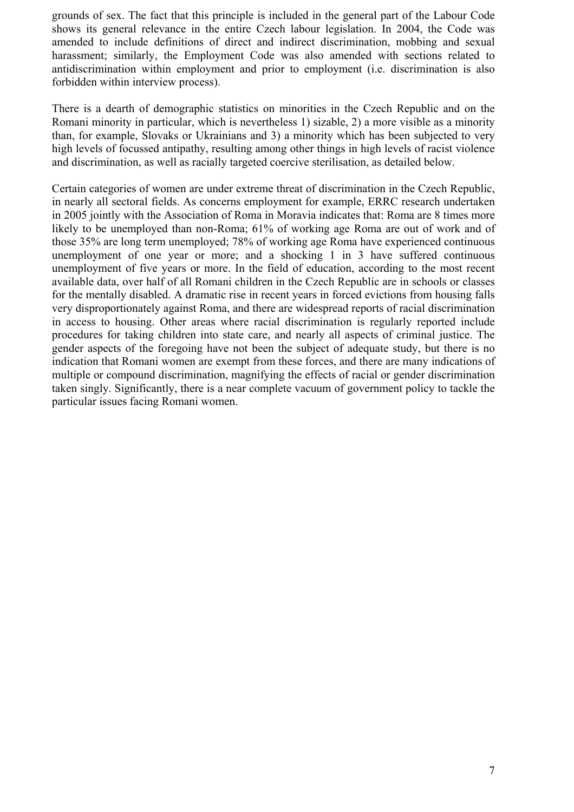grounds of sex. The fact that this principle is included in the general part of the Labour Code shows its general relevance in the entire Czech labour legislation. In 2004, the Code was amended to include definitions of direct and indirect discrimination, mobbing and sexual harassment; similarly, the Employment Code was also amended with sections related to antidiscrimination within employment and prior to employment (i.e. discrimination is also forbidden within interview process).

There is a dearth of demographic statistics on minorities in the Czech Republic and on the Romani minority in particular, which is nevertheless 1) sizable, 2) a more visible as a minority than, for example, Slovaks or Ukrainians and 3) a minority which has been subjected to very high levels of focussed antipathy, resulting among other things in high levels of racist violence and discrimination, as well as racially targeted coercive sterilisation, as detailed below.

Certain categories of women are under extreme threat of discrimination in the Czech Republic, in nearly all sectoral fields. As concerns employment for example, ERRC research undertaken in 2005 jointly with the Association of Roma in Moravia indicates that: Roma are 8 times more likely to be unemployed than non-Roma; 61% of working age Roma are out of work and of those 35% are long term unemployed; 78% of working age Roma have experienced continuous unemployment of one year or more; and a shocking 1 in 3 have suffered continuous unemployment of five years or more. In the field of education, according to the most recent available data, over half of all Romani children in the Czech Republic are in schools or classes for the mentally disabled. A dramatic rise in recent years in forced evictions from housing falls very disproportionately against Roma, and there are widespread reports of racial discrimination in access to housing. Other areas where racial discrimination is regularly reported include procedures for taking children into state care, and nearly all aspects of criminal justice. The gender aspects of the foregoing have not been the subject of adequate study, but there is no indication that Romani women are exempt from these forces, and there are many indications of multiple or compound discrimination, magnifying the effects of racial or gender discrimination taken singly. Significantly, there is a near complete vacuum of government policy to tackle the particular issues facing Romani women.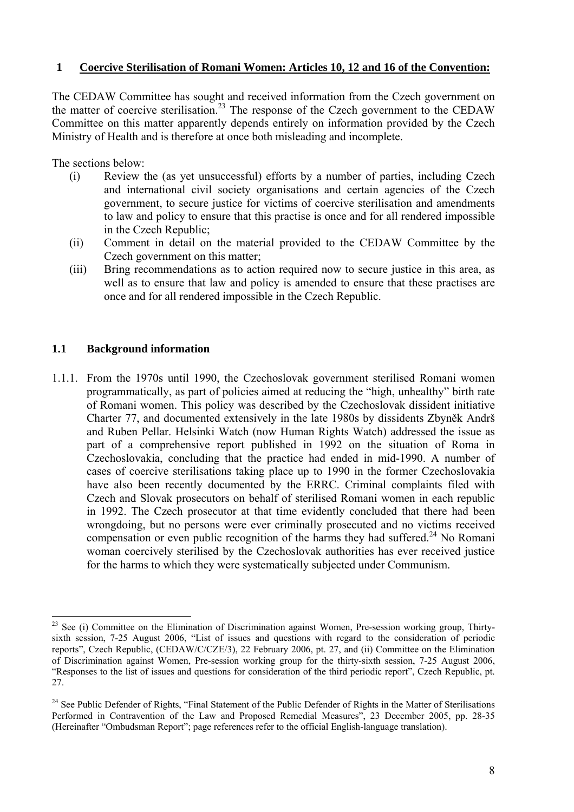# **1 Coercive Sterilisation of Romani Women: Articles 10, 12 and 16 of the Convention:**

The CEDAW Committee has sought and received information from the Czech government on the matter of coercive sterilisation.<sup>23</sup> The response of the Czech government to the CEDAW Committee on this matter apparently depends entirely on information provided by the Czech Ministry of Health and is therefore at once both misleading and incomplete.

The sections below:

- (i) Review the (as yet unsuccessful) efforts by a number of parties, including Czech and international civil society organisations and certain agencies of the Czech government, to secure justice for victims of coercive sterilisation and amendments to law and policy to ensure that this practise is once and for all rendered impossible in the Czech Republic;
- (ii) Comment in detail on the material provided to the CEDAW Committee by the Czech government on this matter;
- (iii) Bring recommendations as to action required now to secure justice in this area, as well as to ensure that law and policy is amended to ensure that these practises are once and for all rendered impossible in the Czech Republic.

# **1.1 Background information**

 $\overline{a}$ 

1.1.1. From the 1970s until 1990, the Czechoslovak government sterilised Romani women programmatically, as part of policies aimed at reducing the "high, unhealthy" birth rate of Romani women. This policy was described by the Czechoslovak dissident initiative Charter 77, and documented extensively in the late 1980s by dissidents Zbyněk Andrš and Ruben Pellar. Helsinki Watch (now Human Rights Watch) addressed the issue as part of a comprehensive report published in 1992 on the situation of Roma in Czechoslovakia, concluding that the practice had ended in mid-1990. A number of cases of coercive sterilisations taking place up to 1990 in the former Czechoslovakia have also been recently documented by the ERRC. Criminal complaints filed with Czech and Slovak prosecutors on behalf of sterilised Romani women in each republic in 1992. The Czech prosecutor at that time evidently concluded that there had been wrongdoing, but no persons were ever criminally prosecuted and no victims received compensation or even public recognition of the harms they had suffered.<sup>24</sup> No Romani woman coercively sterilised by the Czechoslovak authorities has ever received justice for the harms to which they were systematically subjected under Communism.

<sup>&</sup>lt;sup>23</sup> See (i) Committee on the Elimination of Discrimination against Women, Pre-session working group, Thirtysixth session, 7-25 August 2006, "List of issues and questions with regard to the consideration of periodic reports", Czech Republic, (CEDAW/C/CZE/3), 22 February 2006, pt. 27, and (ii) Committee on the Elimination of Discrimination against Women, Pre-session working group for the thirty-sixth session, 7-25 August 2006, "Responses to the list of issues and questions for consideration of the third periodic report", Czech Republic, pt. 27.

<sup>&</sup>lt;sup>24</sup> See Public Defender of Rights, "Final Statement of the Public Defender of Rights in the Matter of Sterilisations Performed in Contravention of the Law and Proposed Remedial Measures", 23 December 2005, pp. 28-35 (Hereinafter "Ombudsman Report"; page references refer to the official English-language translation).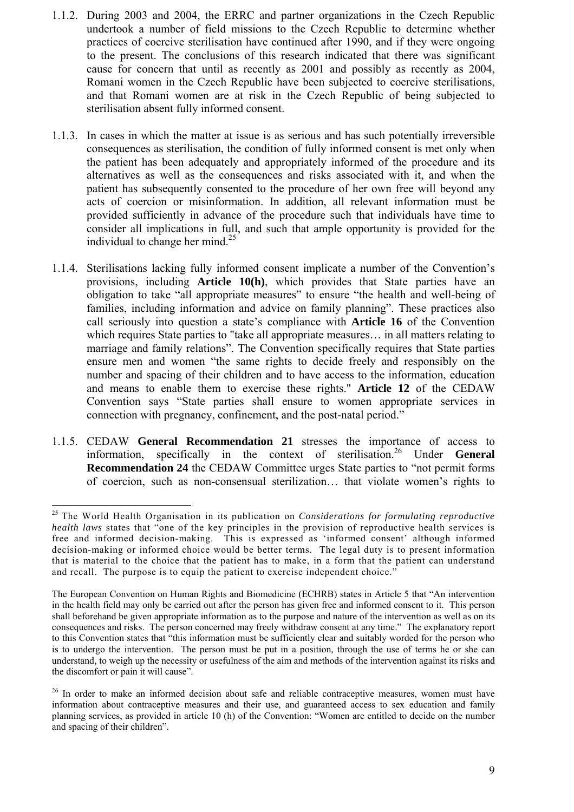- 1.1.2. During 2003 and 2004, the ERRC and partner organizations in the Czech Republic undertook a number of field missions to the Czech Republic to determine whether practices of coercive sterilisation have continued after 1990, and if they were ongoing to the present. The conclusions of this research indicated that there was significant cause for concern that until as recently as 2001 and possibly as recently as 2004, Romani women in the Czech Republic have been subjected to coercive sterilisations, and that Romani women are at risk in the Czech Republic of being subjected to sterilisation absent fully informed consent.
- 1.1.3. In cases in which the matter at issue is as serious and has such potentially irreversible consequences as sterilisation, the condition of fully informed consent is met only when the patient has been adequately and appropriately informed of the procedure and its alternatives as well as the consequences and risks associated with it, and when the patient has subsequently consented to the procedure of her own free will beyond any acts of coercion or misinformation. In addition, all relevant information must be provided sufficiently in advance of the procedure such that individuals have time to consider all implications in full, and such that ample opportunity is provided for the individual to change her mind. $^{25}$
- 1.1.4. Sterilisations lacking fully informed consent implicate a number of the Convention's provisions, including **Article 10(h)**, which provides that State parties have an obligation to take "all appropriate measures" to ensure "the health and well-being of families, including information and advice on family planning". These practices also call seriously into question a state's compliance with **Article 16** of the Convention which requires State parties to "take all appropriate measures… in all matters relating to marriage and family relations". The Convention specifically requires that State parties ensure men and women "the same rights to decide freely and responsibly on the number and spacing of their children and to have access to the information, education and means to enable them to exercise these rights." **Article 12** of the CEDAW Convention says "State parties shall ensure to women appropriate services in connection with pregnancy, confinement, and the post-natal period."
- 1.1.5. CEDAW **General Recommendation 21** stresses the importance of access to information, specifically in the context of sterilisation.26 Under **General Recommendation 24** the CEDAW Committee urges State parties to "not permit forms of coercion, such as non-consensual sterilization… that violate women's rights to

<sup>25</sup> The World Health Organisation in its publication on *Considerations for formulating reproductive health laws* states that "one of the key principles in the provision of reproductive health services is free and informed decision-making. This is expressed as 'informed consent' although informed decision-making or informed choice would be better terms. The legal duty is to present information that is material to the choice that the patient has to make, in a form that the patient can understand and recall. The purpose is to equip the patient to exercise independent choice."

The European Convention on Human Rights and Biomedicine (ECHRB) states in Article 5 that "An intervention in the health field may only be carried out after the person has given free and informed consent to it. This person shall beforehand be given appropriate information as to the purpose and nature of the intervention as well as on its consequences and risks. The person concerned may freely withdraw consent at any time." The explanatory report to this Convention states that "this information must be sufficiently clear and suitably worded for the person who is to undergo the intervention. The person must be put in a position, through the use of terms he or she can understand, to weigh up the necessity or usefulness of the aim and methods of the intervention against its risks and the discomfort or pain it will cause".

<sup>&</sup>lt;sup>26</sup> In order to make an informed decision about safe and reliable contraceptive measures, women must have information about contraceptive measures and their use, and guaranteed access to sex education and family planning services, as provided in article 10 (h) of the Convention: "Women are entitled to decide on the number and spacing of their children".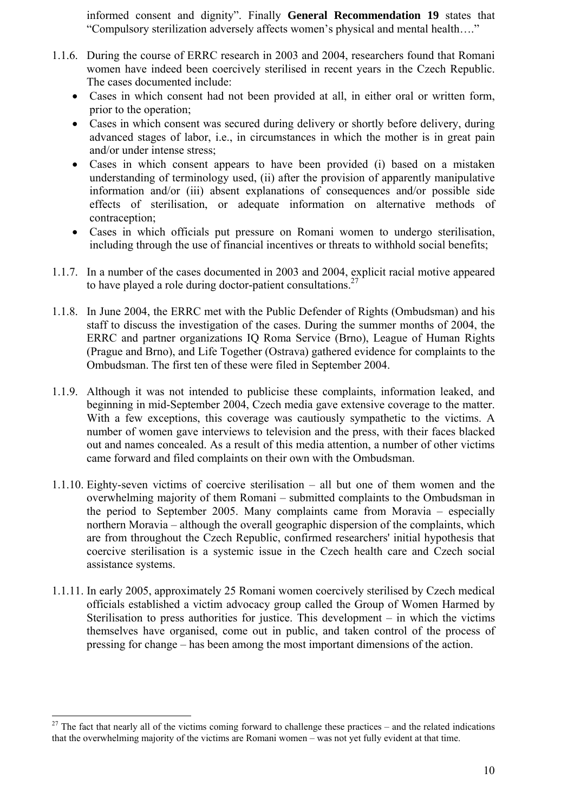informed consent and dignity". Finally **General Recommendation 19** states that "Compulsory sterilization adversely affects women's physical and mental health…."

- 1.1.6. During the course of ERRC research in 2003 and 2004, researchers found that Romani women have indeed been coercively sterilised in recent years in the Czech Republic. The cases documented include:
	- Cases in which consent had not been provided at all, in either oral or written form, prior to the operation;
	- Cases in which consent was secured during delivery or shortly before delivery, during advanced stages of labor, i.e., in circumstances in which the mother is in great pain and/or under intense stress;
	- Cases in which consent appears to have been provided (i) based on a mistaken understanding of terminology used, (ii) after the provision of apparently manipulative information and/or (iii) absent explanations of consequences and/or possible side effects of sterilisation, or adequate information on alternative methods of contraception;
	- Cases in which officials put pressure on Romani women to undergo sterilisation, including through the use of financial incentives or threats to withhold social benefits;
- 1.1.7. In a number of the cases documented in 2003 and 2004, explicit racial motive appeared to have played a role during doctor-patient consultations.<sup>27</sup>
- 1.1.8. In June 2004, the ERRC met with the Public Defender of Rights (Ombudsman) and his staff to discuss the investigation of the cases. During the summer months of 2004, the ERRC and partner organizations IQ Roma Service (Brno), League of Human Rights (Prague and Brno), and Life Together (Ostrava) gathered evidence for complaints to the Ombudsman. The first ten of these were filed in September 2004.
- 1.1.9. Although it was not intended to publicise these complaints, information leaked, and beginning in mid-September 2004, Czech media gave extensive coverage to the matter. With a few exceptions, this coverage was cautiously sympathetic to the victims. A number of women gave interviews to television and the press, with their faces blacked out and names concealed. As a result of this media attention, a number of other victims came forward and filed complaints on their own with the Ombudsman.
- 1.1.10. Eighty-seven victims of coercive sterilisation all but one of them women and the overwhelming majority of them Romani – submitted complaints to the Ombudsman in the period to September 2005. Many complaints came from Moravia – especially northern Moravia – although the overall geographic dispersion of the complaints, which are from throughout the Czech Republic, confirmed researchers' initial hypothesis that coercive sterilisation is a systemic issue in the Czech health care and Czech social assistance systems.
- 1.1.11. In early 2005, approximately 25 Romani women coercively sterilised by Czech medical officials established a victim advocacy group called the Group of Women Harmed by Sterilisation to press authorities for justice. This development  $-$  in which the victims themselves have organised, come out in public, and taken control of the process of pressing for change – has been among the most important dimensions of the action.

 $27$  The fact that nearly all of the victims coming forward to challenge these practices – and the related indications that the overwhelming majority of the victims are Romani women – was not yet fully evident at that time.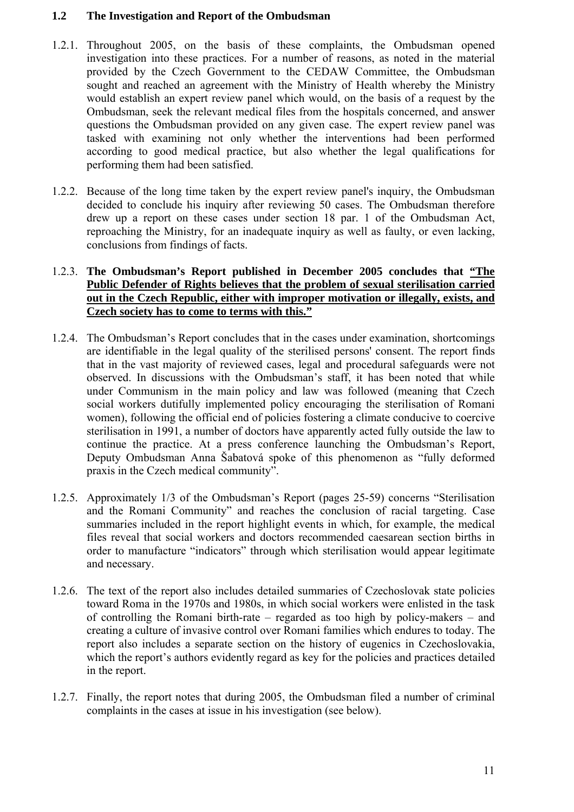## **1.2 The Investigation and Report of the Ombudsman**

- 1.2.1. Throughout 2005, on the basis of these complaints, the Ombudsman opened investigation into these practices. For a number of reasons, as noted in the material provided by the Czech Government to the CEDAW Committee, the Ombudsman sought and reached an agreement with the Ministry of Health whereby the Ministry would establish an expert review panel which would, on the basis of a request by the Ombudsman, seek the relevant medical files from the hospitals concerned, and answer questions the Ombudsman provided on any given case. The expert review panel was tasked with examining not only whether the interventions had been performed according to good medical practice, but also whether the legal qualifications for performing them had been satisfied.
- 1.2.2. Because of the long time taken by the expert review panel's inquiry, the Ombudsman decided to conclude his inquiry after reviewing 50 cases. The Ombudsman therefore drew up a report on these cases under section 18 par. 1 of the Ombudsman Act, reproaching the Ministry, for an inadequate inquiry as well as faulty, or even lacking, conclusions from findings of facts.

# 1.2.3. **The Ombudsman's Report published in December 2005 concludes that "The Public Defender of Rights believes that the problem of sexual sterilisation carried out in the Czech Republic, either with improper motivation or illegally, exists, and Czech society has to come to terms with this."**

- 1.2.4. The Ombudsman's Report concludes that in the cases under examination, shortcomings are identifiable in the legal quality of the sterilised persons' consent. The report finds that in the vast majority of reviewed cases, legal and procedural safeguards were not observed. In discussions with the Ombudsman's staff, it has been noted that while under Communism in the main policy and law was followed (meaning that Czech social workers dutifully implemented policy encouraging the sterilisation of Romani women), following the official end of policies fostering a climate conducive to coercive sterilisation in 1991, a number of doctors have apparently acted fully outside the law to continue the practice. At a press conference launching the Ombudsman's Report, Deputy Ombudsman Anna Šabatová spoke of this phenomenon as "fully deformed praxis in the Czech medical community".
- 1.2.5. Approximately 1/3 of the Ombudsman's Report (pages 25-59) concerns "Sterilisation and the Romani Community" and reaches the conclusion of racial targeting. Case summaries included in the report highlight events in which, for example, the medical files reveal that social workers and doctors recommended caesarean section births in order to manufacture "indicators" through which sterilisation would appear legitimate and necessary.
- 1.2.6. The text of the report also includes detailed summaries of Czechoslovak state policies toward Roma in the 1970s and 1980s, in which social workers were enlisted in the task of controlling the Romani birth-rate – regarded as too high by policy-makers – and creating a culture of invasive control over Romani families which endures to today. The report also includes a separate section on the history of eugenics in Czechoslovakia, which the report's authors evidently regard as key for the policies and practices detailed in the report.
- 1.2.7. Finally, the report notes that during 2005, the Ombudsman filed a number of criminal complaints in the cases at issue in his investigation (see below).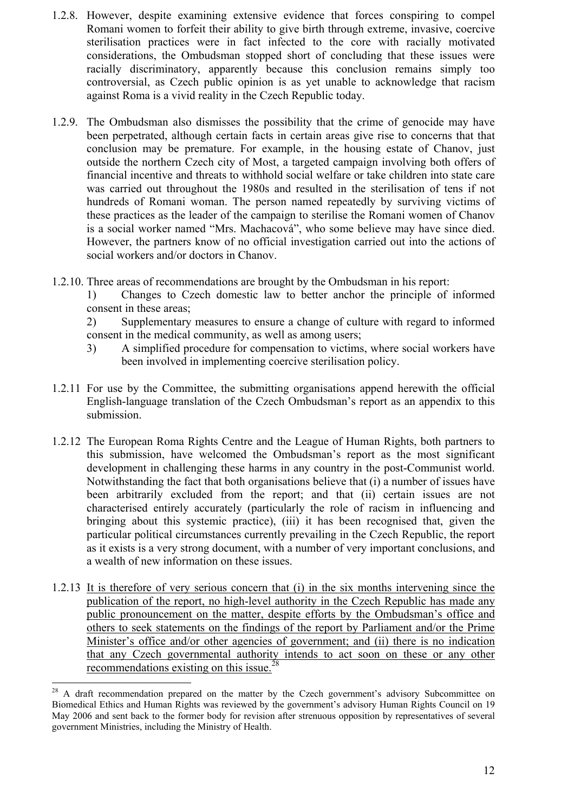- 1.2.8. However, despite examining extensive evidence that forces conspiring to compel Romani women to forfeit their ability to give birth through extreme, invasive, coercive sterilisation practices were in fact infected to the core with racially motivated considerations, the Ombudsman stopped short of concluding that these issues were racially discriminatory, apparently because this conclusion remains simply too controversial, as Czech public opinion is as yet unable to acknowledge that racism against Roma is a vivid reality in the Czech Republic today.
- 1.2.9. The Ombudsman also dismisses the possibility that the crime of genocide may have been perpetrated, although certain facts in certain areas give rise to concerns that that conclusion may be premature. For example, in the housing estate of Chanov, just outside the northern Czech city of Most, a targeted campaign involving both offers of financial incentive and threats to withhold social welfare or take children into state care was carried out throughout the 1980s and resulted in the sterilisation of tens if not hundreds of Romani woman. The person named repeatedly by surviving victims of these practices as the leader of the campaign to sterilise the Romani women of Chanov is a social worker named "Mrs. Machacová", who some believe may have since died. However, the partners know of no official investigation carried out into the actions of social workers and/or doctors in Chanov.
- 1.2.10. Three areas of recommendations are brought by the Ombudsman in his report:

1) Changes to Czech domestic law to better anchor the principle of informed consent in these areas;

2) Supplementary measures to ensure a change of culture with regard to informed consent in the medical community, as well as among users;

- 3) A simplified procedure for compensation to victims, where social workers have been involved in implementing coercive sterilisation policy.
- 1.2.11 For use by the Committee, the submitting organisations append herewith the official English-language translation of the Czech Ombudsman's report as an appendix to this submission.
- 1.2.12 The European Roma Rights Centre and the League of Human Rights, both partners to this submission, have welcomed the Ombudsman's report as the most significant development in challenging these harms in any country in the post-Communist world. Notwithstanding the fact that both organisations believe that (i) a number of issues have been arbitrarily excluded from the report; and that (ii) certain issues are not characterised entirely accurately (particularly the role of racism in influencing and bringing about this systemic practice), (iii) it has been recognised that, given the particular political circumstances currently prevailing in the Czech Republic, the report as it exists is a very strong document, with a number of very important conclusions, and a wealth of new information on these issues.
- 1.2.13 It is therefore of very serious concern that (i) in the six months intervening since the publication of the report, no high-level authority in the Czech Republic has made any public pronouncement on the matter, despite efforts by the Ombudsman's office and others to seek statements on the findings of the report by Parliament and/or the Prime Minister's office and/or other agencies of government; and (ii) there is no indication that any Czech governmental authority intends to act soon on these or any other recommendations existing on this issue.28

 $^{28}$  A draft recommendation prepared on the matter by the Czech government's advisory Subcommittee on Biomedical Ethics and Human Rights was reviewed by the government's advisory Human Rights Council on 19 May 2006 and sent back to the former body for revision after strenuous opposition by representatives of several government Ministries, including the Ministry of Health.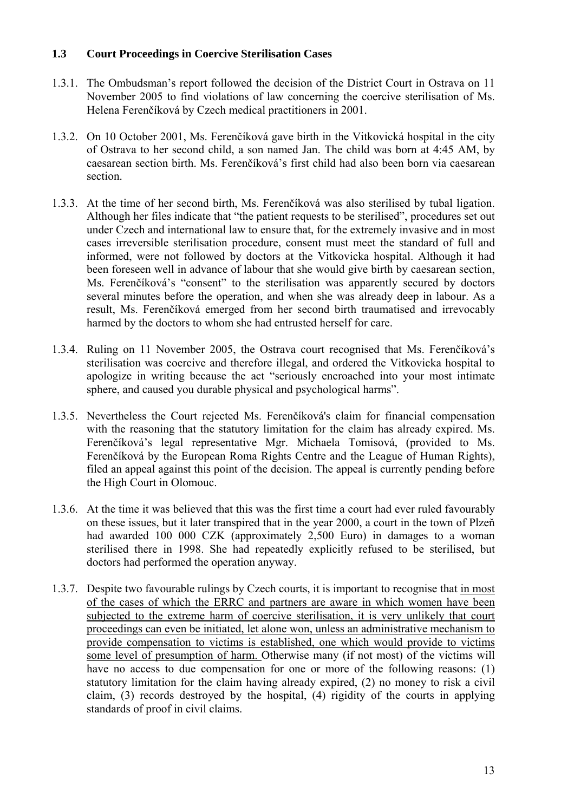# **1.3 Court Proceedings in Coercive Sterilisation Cases**

- 1.3.1. The Ombudsman's report followed the decision of the District Court in Ostrava on 11 November 2005 to find violations of law concerning the coercive sterilisation of Ms. Helena Ferenčíková by Czech medical practitioners in 2001.
- 1.3.2. On 10 October 2001, Ms. Ferenčíková gave birth in the Vitkovická hospital in the city of Ostrava to her second child, a son named Jan. The child was born at 4:45 AM, by caesarean section birth. Ms. Ferenčíková's first child had also been born via caesarean section.
- 1.3.3. At the time of her second birth, Ms. Ferenčíková was also sterilised by tubal ligation. Although her files indicate that "the patient requests to be sterilised", procedures set out under Czech and international law to ensure that, for the extremely invasive and in most cases irreversible sterilisation procedure, consent must meet the standard of full and informed, were not followed by doctors at the Vitkovicka hospital. Although it had been foreseen well in advance of labour that she would give birth by caesarean section, Ms. Ferenčíková's "consent" to the sterilisation was apparently secured by doctors several minutes before the operation, and when she was already deep in labour. As a result, Ms. Ferenčíková emerged from her second birth traumatised and irrevocably harmed by the doctors to whom she had entrusted herself for care.
- 1.3.4. Ruling on 11 November 2005, the Ostrava court recognised that Ms. Ferenčíková's sterilisation was coercive and therefore illegal, and ordered the Vitkovicka hospital to apologize in writing because the act "seriously encroached into your most intimate sphere, and caused you durable physical and psychological harms".
- 1.3.5. Nevertheless the Court rejected Ms. Ferenčíková's claim for financial compensation with the reasoning that the statutory limitation for the claim has already expired. Ms. Ferenčíková's legal representative Mgr. Michaela Tomisová, (provided to Ms. Ferenčíková by the European Roma Rights Centre and the League of Human Rights), filed an appeal against this point of the decision. The appeal is currently pending before the High Court in Olomouc.
- 1.3.6. At the time it was believed that this was the first time a court had ever ruled favourably on these issues, but it later transpired that in the year 2000, a court in the town of Plzeň had awarded 100 000 CZK (approximately 2,500 Euro) in damages to a woman sterilised there in 1998. She had repeatedly explicitly refused to be sterilised, but doctors had performed the operation anyway.
- 1.3.7. Despite two favourable rulings by Czech courts, it is important to recognise that in most of the cases of which the ERRC and partners are aware in which women have been subjected to the extreme harm of coercive sterilisation, it is very unlikely that court proceedings can even be initiated, let alone won, unless an administrative mechanism to provide compensation to victims is established, one which would provide to victims some level of presumption of harm. Otherwise many (if not most) of the victims will have no access to due compensation for one or more of the following reasons: (1) statutory limitation for the claim having already expired, (2) no money to risk a civil claim, (3) records destroyed by the hospital, (4) rigidity of the courts in applying standards of proof in civil claims.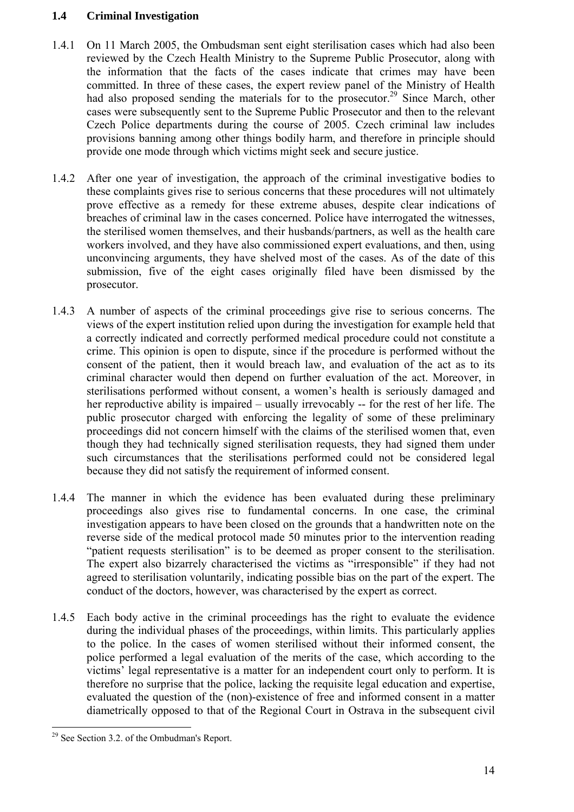# **1.4 Criminal Investigation**

- 1.4.1 On 11 March 2005, the Ombudsman sent eight sterilisation cases which had also been reviewed by the Czech Health Ministry to the Supreme Public Prosecutor, along with the information that the facts of the cases indicate that crimes may have been committed. In three of these cases, the expert review panel of the Ministry of Health had also proposed sending the materials for to the prosecutor.<sup>29</sup> Since March, other cases were subsequently sent to the Supreme Public Prosecutor and then to the relevant Czech Police departments during the course of 2005. Czech criminal law includes provisions banning among other things bodily harm, and therefore in principle should provide one mode through which victims might seek and secure justice.
- 1.4.2 After one year of investigation, the approach of the criminal investigative bodies to these complaints gives rise to serious concerns that these procedures will not ultimately prove effective as a remedy for these extreme abuses, despite clear indications of breaches of criminal law in the cases concerned. Police have interrogated the witnesses, the sterilised women themselves, and their husbands/partners, as well as the health care workers involved, and they have also commissioned expert evaluations, and then, using unconvincing arguments, they have shelved most of the cases. As of the date of this submission, five of the eight cases originally filed have been dismissed by the prosecutor.
- 1.4.3 A number of aspects of the criminal proceedings give rise to serious concerns. The views of the expert institution relied upon during the investigation for example held that a correctly indicated and correctly performed medical procedure could not constitute a crime. This opinion is open to dispute, since if the procedure is performed without the consent of the patient, then it would breach law, and evaluation of the act as to its criminal character would then depend on further evaluation of the act. Moreover, in sterilisations performed without consent, a women's health is seriously damaged and her reproductive ability is impaired – usually irrevocably -- for the rest of her life. The public prosecutor charged with enforcing the legality of some of these preliminary proceedings did not concern himself with the claims of the sterilised women that, even though they had technically signed sterilisation requests, they had signed them under such circumstances that the sterilisations performed could not be considered legal because they did not satisfy the requirement of informed consent.
- 1.4.4 The manner in which the evidence has been evaluated during these preliminary proceedings also gives rise to fundamental concerns. In one case, the criminal investigation appears to have been closed on the grounds that a handwritten note on the reverse side of the medical protocol made 50 minutes prior to the intervention reading "patient requests sterilisation" is to be deemed as proper consent to the sterilisation. The expert also bizarrely characterised the victims as "irresponsible" if they had not agreed to sterilisation voluntarily, indicating possible bias on the part of the expert. The conduct of the doctors, however, was characterised by the expert as correct.
- 1.4.5 Each body active in the criminal proceedings has the right to evaluate the evidence during the individual phases of the proceedings, within limits. This particularly applies to the police. In the cases of women sterilised without their informed consent, the police performed a legal evaluation of the merits of the case, which according to the victims' legal representative is a matter for an independent court only to perform. It is therefore no surprise that the police, lacking the requisite legal education and expertise, evaluated the question of the (non)-existence of free and informed consent in a matter diametrically opposed to that of the Regional Court in Ostrava in the subsequent civil

 $\overline{a}$ <sup>29</sup> See Section 3.2. of the Ombudman's Report.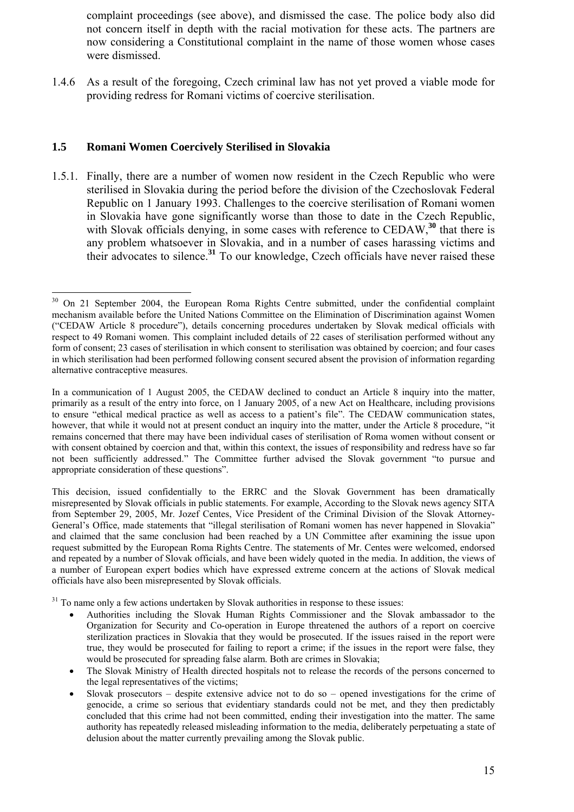complaint proceedings (see above), and dismissed the case. The police body also did not concern itself in depth with the racial motivation for these acts. The partners are now considering a Constitutional complaint in the name of those women whose cases were dismissed.

1.4.6 As a result of the foregoing, Czech criminal law has not yet proved a viable mode for providing redress for Romani victims of coercive sterilisation.

# **1.5 Romani Women Coercively Sterilised in Slovakia**

 $\overline{a}$ 

1.5.1. Finally, there are a number of women now resident in the Czech Republic who were sterilised in Slovakia during the period before the division of the Czechoslovak Federal Republic on 1 January 1993. Challenges to the coercive sterilisation of Romani women in Slovakia have gone significantly worse than those to date in the Czech Republic, with Slovak officials denying, in some cases with reference to CEDAW,<sup>30</sup> that there is any problem whatsoever in Slovakia, and in a number of cases harassing victims and their advocates to silence.**<sup>31</sup>** To our knowledge, Czech officials have never raised these

<sup>31</sup> To name only a few actions undertaken by Slovak authorities in response to these issues:

- Authorities including the Slovak Human Rights Commissioner and the Slovak ambassador to the Organization for Security and Co-operation in Europe threatened the authors of a report on coercive sterilization practices in Slovakia that they would be prosecuted. If the issues raised in the report were true, they would be prosecuted for failing to report a crime; if the issues in the report were false, they would be prosecuted for spreading false alarm. Both are crimes in Slovakia;
- The Slovak Ministry of Health directed hospitals not to release the records of the persons concerned to the legal representatives of the victims;
- Slovak prosecutors despite extensive advice not to do so opened investigations for the crime of genocide, a crime so serious that evidentiary standards could not be met, and they then predictably concluded that this crime had not been committed, ending their investigation into the matter. The same authority has repeatedly released misleading information to the media, deliberately perpetuating a state of delusion about the matter currently prevailing among the Slovak public.

<sup>&</sup>lt;sup>30</sup> On 21 September 2004, the European Roma Rights Centre submitted, under the confidential complaint mechanism available before the United Nations Committee on the Elimination of Discrimination against Women ("CEDAW Article 8 procedure"), details concerning procedures undertaken by Slovak medical officials with respect to 49 Romani women. This complaint included details of 22 cases of sterilisation performed without any form of consent; 23 cases of sterilisation in which consent to sterilisation was obtained by coercion; and four cases in which sterilisation had been performed following consent secured absent the provision of information regarding alternative contraceptive measures.

In a communication of 1 August 2005, the CEDAW declined to conduct an Article 8 inquiry into the matter, primarily as a result of the entry into force, on 1 January 2005, of a new Act on Healthcare, including provisions to ensure "ethical medical practice as well as access to a patient's file". The CEDAW communication states, however, that while it would not at present conduct an inquiry into the matter, under the Article 8 procedure, "it remains concerned that there may have been individual cases of sterilisation of Roma women without consent or with consent obtained by coercion and that, within this context, the issues of responsibility and redress have so far not been sufficiently addressed." The Committee further advised the Slovak government "to pursue and appropriate consideration of these questions".

This decision, issued confidentially to the ERRC and the Slovak Government has been dramatically misrepresented by Slovak officials in public statements. For example, According to the Slovak news agency SITA from September 29, 2005, Mr. Jozef Centes, Vice President of the Criminal Division of the Slovak Attorney-General's Office, made statements that "illegal sterilisation of Romani women has never happened in Slovakia" and claimed that the same conclusion had been reached by a UN Committee after examining the issue upon request submitted by the European Roma Rights Centre. The statements of Mr. Centes were welcomed, endorsed and repeated by a number of Slovak officials, and have been widely quoted in the media. In addition, the views of a number of European expert bodies which have expressed extreme concern at the actions of Slovak medical officials have also been misrepresented by Slovak officials.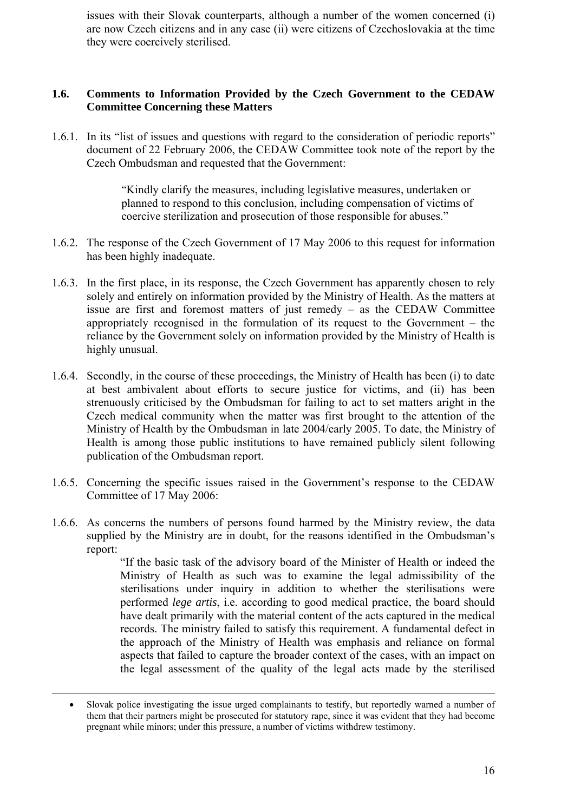issues with their Slovak counterparts, although a number of the women concerned (i) are now Czech citizens and in any case (ii) were citizens of Czechoslovakia at the time they were coercively sterilised.

#### **1.6. Comments to Information Provided by the Czech Government to the CEDAW Committee Concerning these Matters**

1.6.1. In its "list of issues and questions with regard to the consideration of periodic reports" document of 22 February 2006, the CEDAW Committee took note of the report by the Czech Ombudsman and requested that the Government:

> "Kindly clarify the measures, including legislative measures, undertaken or planned to respond to this conclusion, including compensation of victims of coercive sterilization and prosecution of those responsible for abuses."

- 1.6.2. The response of the Czech Government of 17 May 2006 to this request for information has been highly inadequate.
- 1.6.3. In the first place, in its response, the Czech Government has apparently chosen to rely solely and entirely on information provided by the Ministry of Health. As the matters at issue are first and foremost matters of just remedy – as the CEDAW Committee appropriately recognised in the formulation of its request to the Government – the reliance by the Government solely on information provided by the Ministry of Health is highly unusual.
- 1.6.4. Secondly, in the course of these proceedings, the Ministry of Health has been (i) to date at best ambivalent about efforts to secure justice for victims, and (ii) has been strenuously criticised by the Ombudsman for failing to act to set matters aright in the Czech medical community when the matter was first brought to the attention of the Ministry of Health by the Ombudsman in late 2004/early 2005. To date, the Ministry of Health is among those public institutions to have remained publicly silent following publication of the Ombudsman report.
- 1.6.5. Concerning the specific issues raised in the Government's response to the CEDAW Committee of 17 May 2006:
- 1.6.6. As concerns the numbers of persons found harmed by the Ministry review, the data supplied by the Ministry are in doubt, for the reasons identified in the Ombudsman's report:

"If the basic task of the advisory board of the Minister of Health or indeed the Ministry of Health as such was to examine the legal admissibility of the sterilisations under inquiry in addition to whether the sterilisations were performed *lege artis*, i.e. according to good medical practice, the board should have dealt primarily with the material content of the acts captured in the medical records. The ministry failed to satisfy this requirement. A fundamental defect in the approach of the Ministry of Health was emphasis and reliance on formal aspects that failed to capture the broader context of the cases, with an impact on the legal assessment of the quality of the legal acts made by the sterilised

1

<sup>•</sup> Slovak police investigating the issue urged complainants to testify, but reportedly warned a number of them that their partners might be prosecuted for statutory rape, since it was evident that they had become pregnant while minors; under this pressure, a number of victims withdrew testimony.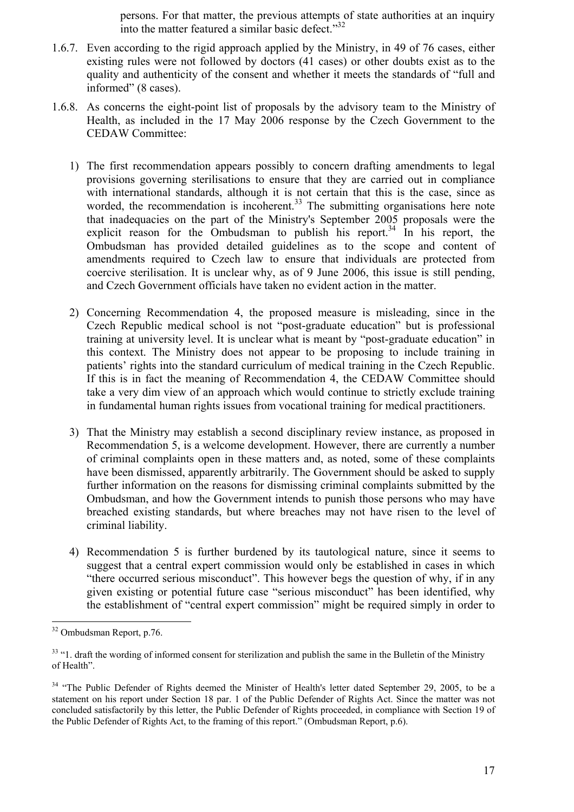persons. For that matter, the previous attempts of state authorities at an inquiry into the matter featured a similar basic defect. $1^{32}$ 

- 1.6.7. Even according to the rigid approach applied by the Ministry, in 49 of 76 cases, either existing rules were not followed by doctors (41 cases) or other doubts exist as to the quality and authenticity of the consent and whether it meets the standards of "full and informed" (8 cases).
- 1.6.8. As concerns the eight-point list of proposals by the advisory team to the Ministry of Health, as included in the 17 May 2006 response by the Czech Government to the CEDAW Committee:
	- 1) The first recommendation appears possibly to concern drafting amendments to legal provisions governing sterilisations to ensure that they are carried out in compliance with international standards, although it is not certain that this is the case, since as worded, the recommendation is incoherent.<sup>33</sup> The submitting organisations here note that inadequacies on the part of the Ministry's September 2005 proposals were the explicit reason for the Ombudsman to publish his report.<sup>34</sup> In his report, the Ombudsman has provided detailed guidelines as to the scope and content of amendments required to Czech law to ensure that individuals are protected from coercive sterilisation. It is unclear why, as of 9 June 2006, this issue is still pending, and Czech Government officials have taken no evident action in the matter.
	- 2) Concerning Recommendation 4, the proposed measure is misleading, since in the Czech Republic medical school is not "post-graduate education" but is professional training at university level. It is unclear what is meant by "post-graduate education" in this context. The Ministry does not appear to be proposing to include training in patients' rights into the standard curriculum of medical training in the Czech Republic. If this is in fact the meaning of Recommendation 4, the CEDAW Committee should take a very dim view of an approach which would continue to strictly exclude training in fundamental human rights issues from vocational training for medical practitioners.
	- 3) That the Ministry may establish a second disciplinary review instance, as proposed in Recommendation 5, is a welcome development. However, there are currently a number of criminal complaints open in these matters and, as noted, some of these complaints have been dismissed, apparently arbitrarily. The Government should be asked to supply further information on the reasons for dismissing criminal complaints submitted by the Ombudsman, and how the Government intends to punish those persons who may have breached existing standards, but where breaches may not have risen to the level of criminal liability.
	- 4) Recommendation 5 is further burdened by its tautological nature, since it seems to suggest that a central expert commission would only be established in cases in which "there occurred serious misconduct". This however begs the question of why, if in any given existing or potential future case "serious misconduct" has been identified, why the establishment of "central expert commission" might be required simply in order to

<sup>32</sup> Ombudsman Report, p.76.

<sup>&</sup>lt;sup>33</sup> "1. draft the wording of informed consent for sterilization and publish the same in the Bulletin of the Ministry of Health".

<sup>&</sup>lt;sup>34</sup> "The Public Defender of Rights deemed the Minister of Health's letter dated September 29, 2005, to be a statement on his report under Section 18 par. 1 of the Public Defender of Rights Act. Since the matter was not concluded satisfactorily by this letter, the Public Defender of Rights proceeded, in compliance with Section 19 of the Public Defender of Rights Act, to the framing of this report." (Ombudsman Report, p.6).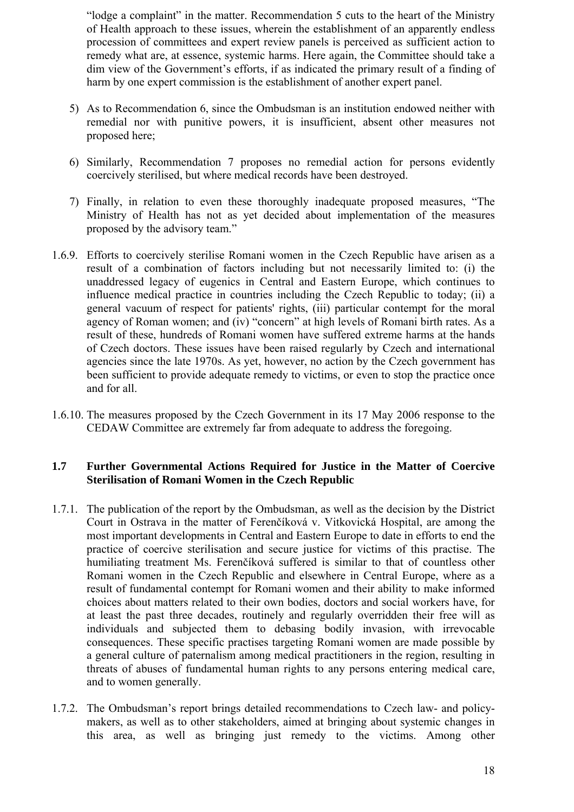"lodge a complaint" in the matter. Recommendation 5 cuts to the heart of the Ministry of Health approach to these issues, wherein the establishment of an apparently endless procession of committees and expert review panels is perceived as sufficient action to remedy what are, at essence, systemic harms. Here again, the Committee should take a dim view of the Government's efforts, if as indicated the primary result of a finding of harm by one expert commission is the establishment of another expert panel.

- 5) As to Recommendation 6, since the Ombudsman is an institution endowed neither with remedial nor with punitive powers, it is insufficient, absent other measures not proposed here;
- 6) Similarly, Recommendation 7 proposes no remedial action for persons evidently coercively sterilised, but where medical records have been destroyed.
- 7) Finally, in relation to even these thoroughly inadequate proposed measures, "The Ministry of Health has not as yet decided about implementation of the measures proposed by the advisory team."
- 1.6.9. Efforts to coercively sterilise Romani women in the Czech Republic have arisen as a result of a combination of factors including but not necessarily limited to: (i) the unaddressed legacy of eugenics in Central and Eastern Europe, which continues to influence medical practice in countries including the Czech Republic to today; (ii) a general vacuum of respect for patients' rights, (iii) particular contempt for the moral agency of Roman women; and (iv) "concern" at high levels of Romani birth rates. As a result of these, hundreds of Romani women have suffered extreme harms at the hands of Czech doctors. These issues have been raised regularly by Czech and international agencies since the late 1970s. As yet, however, no action by the Czech government has been sufficient to provide adequate remedy to victims, or even to stop the practice once and for all.
- 1.6.10. The measures proposed by the Czech Government in its 17 May 2006 response to the CEDAW Committee are extremely far from adequate to address the foregoing.

# **1.7 Further Governmental Actions Required for Justice in the Matter of Coercive Sterilisation of Romani Women in the Czech Republic**

- 1.7.1. The publication of the report by the Ombudsman, as well as the decision by the District Court in Ostrava in the matter of Ferenčíková v. Vitkovická Hospital, are among the most important developments in Central and Eastern Europe to date in efforts to end the practice of coercive sterilisation and secure justice for victims of this practise. The humiliating treatment Ms. Ferenčíková suffered is similar to that of countless other Romani women in the Czech Republic and elsewhere in Central Europe, where as a result of fundamental contempt for Romani women and their ability to make informed choices about matters related to their own bodies, doctors and social workers have, for at least the past three decades, routinely and regularly overridden their free will as individuals and subjected them to debasing bodily invasion, with irrevocable consequences. These specific practises targeting Romani women are made possible by a general culture of paternalism among medical practitioners in the region, resulting in threats of abuses of fundamental human rights to any persons entering medical care, and to women generally.
- 1.7.2. The Ombudsman's report brings detailed recommendations to Czech law- and policymakers, as well as to other stakeholders, aimed at bringing about systemic changes in this area, as well as bringing just remedy to the victims. Among other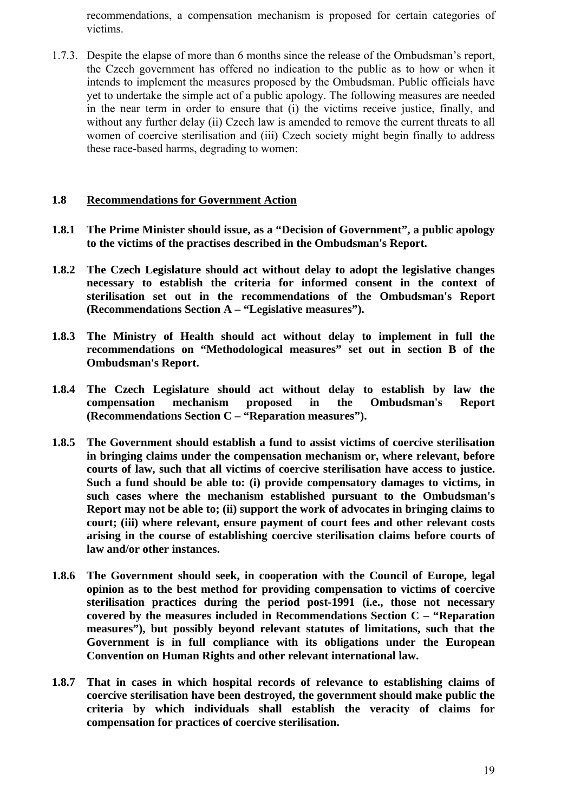recommendations, a compensation mechanism is proposed for certain categories of victims.

1.7.3. Despite the elapse of more than 6 months since the release of the Ombudsman's report, the Czech government has offered no indication to the public as to how or when it intends to implement the measures proposed by the Ombudsman. Public officials have yet to undertake the simple act of a public apology. The following measures are needed in the near term in order to ensure that (i) the victims receive justice, finally, and without any further delay (ii) Czech law is amended to remove the current threats to all women of coercive sterilisation and (iii) Czech society might begin finally to address these race-based harms, degrading to women:

## **1.8 Recommendations for Government Action**

- **1.8.1 The Prime Minister should issue, as a "Decision of Government", a public apology to the victims of the practises described in the Ombudsman's Report.**
- **1.8.2 The Czech Legislature should act without delay to adopt the legislative changes necessary to establish the criteria for informed consent in the context of sterilisation set out in the recommendations of the Ombudsman's Report (Recommendations Section A – "Legislative measures").**
- **1.8.3 The Ministry of Health should act without delay to implement in full the recommendations on "Methodological measures" set out in section B of the Ombudsman's Report.**
- **1.8.4 The Czech Legislature should act without delay to establish by law the compensation mechanism proposed in the Ombudsman's Report (Recommendations Section C – "Reparation measures").**
- **1.8.5 The Government should establish a fund to assist victims of coercive sterilisation in bringing claims under the compensation mechanism or, where relevant, before courts of law, such that all victims of coercive sterilisation have access to justice. Such a fund should be able to: (i) provide compensatory damages to victims, in such cases where the mechanism established pursuant to the Ombudsman's Report may not be able to; (ii) support the work of advocates in bringing claims to court; (iii) where relevant, ensure payment of court fees and other relevant costs arising in the course of establishing coercive sterilisation claims before courts of law and/or other instances.**
- **1.8.6 The Government should seek, in cooperation with the Council of Europe, legal opinion as to the best method for providing compensation to victims of coercive sterilisation practices during the period post-1991 (i.e., those not necessary covered by the measures included in Recommendations Section C – "Reparation measures"), but possibly beyond relevant statutes of limitations, such that the Government is in full compliance with its obligations under the European Convention on Human Rights and other relevant international law.**
- **1.8.7 That in cases in which hospital records of relevance to establishing claims of coercive sterilisation have been destroyed, the government should make public the criteria by which individuals shall establish the veracity of claims for compensation for practices of coercive sterilisation.**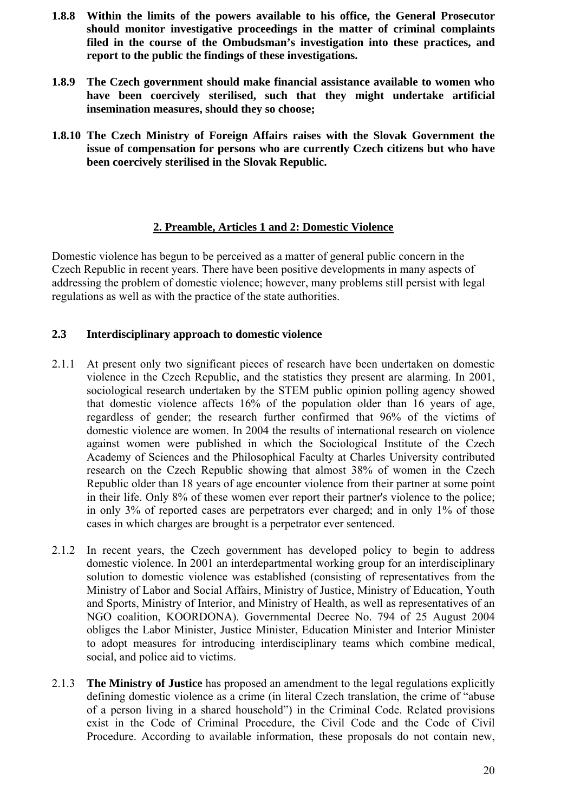- **1.8.8 Within the limits of the powers available to his office, the General Prosecutor should monitor investigative proceedings in the matter of criminal complaints filed in the course of the Ombudsman's investigation into these practices, and report to the public the findings of these investigations.**
- **1.8.9 The Czech government should make financial assistance available to women who have been coercively sterilised, such that they might undertake artificial insemination measures, should they so choose;**
- **1.8.10 The Czech Ministry of Foreign Affairs raises with the Slovak Government the issue of compensation for persons who are currently Czech citizens but who have been coercively sterilised in the Slovak Republic.**

## **2. Preamble, Articles 1 and 2: Domestic Violence**

Domestic violence has begun to be perceived as a matter of general public concern in the Czech Republic in recent years. There have been positive developments in many aspects of addressing the problem of domestic violence; however, many problems still persist with legal regulations as well as with the practice of the state authorities.

# **2.3 Interdisciplinary approach to domestic violence**

- 2.1.1 At present only two significant pieces of research have been undertaken on domestic violence in the Czech Republic, and the statistics they present are alarming. In 2001, sociological research undertaken by the STEM public opinion polling agency showed that domestic violence affects 16% of the population older than 16 years of age, regardless of gender; the research further confirmed that 96% of the victims of domestic violence are women. In 2004 the results of international research on violence against women were published in which the Sociological Institute of the Czech Academy of Sciences and the Philosophical Faculty at Charles University contributed research on the Czech Republic showing that almost 38% of women in the Czech Republic older than 18 years of age encounter violence from their partner at some point in their life. Only 8% of these women ever report their partner's violence to the police; in only 3% of reported cases are perpetrators ever charged; and in only 1% of those cases in which charges are brought is a perpetrator ever sentenced.
- 2.1.2 In recent years, the Czech government has developed policy to begin to address domestic violence. In 2001 an interdepartmental working group for an interdisciplinary solution to domestic violence was established (consisting of representatives from the Ministry of Labor and Social Affairs, Ministry of Justice, Ministry of Education, Youth and Sports, Ministry of Interior, and Ministry of Health, as well as representatives of an NGO coalition, KOORDONA). Governmental Decree No. 794 of 25 August 2004 obliges the Labor Minister, Justice Minister, Education Minister and Interior Minister to adopt measures for introducing interdisciplinary teams which combine medical, social, and police aid to victims.
- 2.1.3 **The Ministry of Justice** has proposed an amendment to the legal regulations explicitly defining domestic violence as a crime (in literal Czech translation, the crime of "abuse of a person living in a shared household") in the Criminal Code. Related provisions exist in the Code of Criminal Procedure, the Civil Code and the Code of Civil Procedure. According to available information, these proposals do not contain new,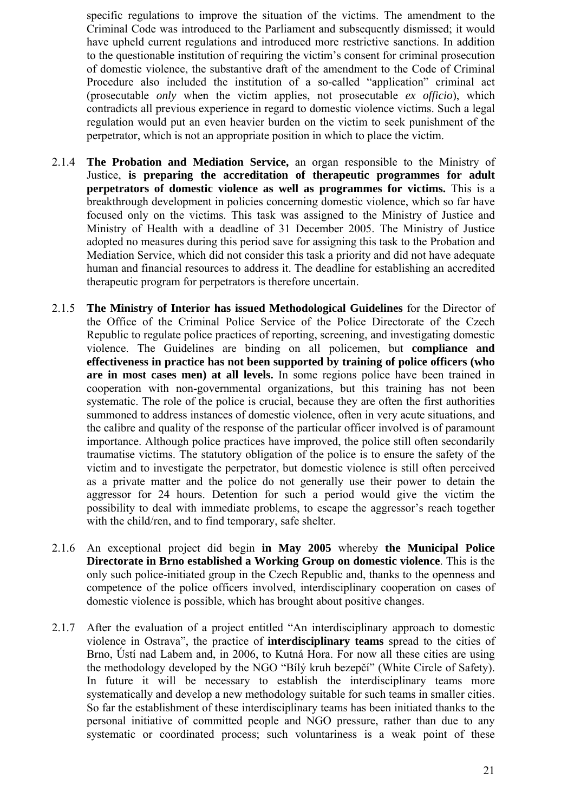specific regulations to improve the situation of the victims. The amendment to the Criminal Code was introduced to the Parliament and subsequently dismissed; it would have upheld current regulations and introduced more restrictive sanctions. In addition to the questionable institution of requiring the victim's consent for criminal prosecution of domestic violence, the substantive draft of the amendment to the Code of Criminal Procedure also included the institution of a so-called "application" criminal act (prosecutable *only* when the victim applies, not prosecutable *ex officio*), which contradicts all previous experience in regard to domestic violence victims. Such a legal regulation would put an even heavier burden on the victim to seek punishment of the perpetrator, which is not an appropriate position in which to place the victim.

- 2.1.4 **The Probation and Mediation Service,** an organ responsible to the Ministry of Justice, **is preparing the accreditation of therapeutic programmes for adult perpetrators of domestic violence as well as programmes for victims.** This is a breakthrough development in policies concerning domestic violence, which so far have focused only on the victims. This task was assigned to the Ministry of Justice and Ministry of Health with a deadline of 31 December 2005. The Ministry of Justice adopted no measures during this period save for assigning this task to the Probation and Mediation Service, which did not consider this task a priority and did not have adequate human and financial resources to address it. The deadline for establishing an accredited therapeutic program for perpetrators is therefore uncertain.
- 2.1.5 **The Ministry of Interior has issued Methodological Guidelines** for the Director of the Office of the Criminal Police Service of the Police Directorate of the Czech Republic to regulate police practices of reporting, screening, and investigating domestic violence. The Guidelines are binding on all policemen, but **compliance and effectiveness in practice has not been supported by training of police officers (who are in most cases men) at all levels.** In some regions police have been trained in cooperation with non-governmental organizations, but this training has not been systematic. The role of the police is crucial, because they are often the first authorities summoned to address instances of domestic violence, often in very acute situations, and the calibre and quality of the response of the particular officer involved is of paramount importance. Although police practices have improved, the police still often secondarily traumatise victims. The statutory obligation of the police is to ensure the safety of the victim and to investigate the perpetrator, but domestic violence is still often perceived as a private matter and the police do not generally use their power to detain the aggressor for 24 hours. Detention for such a period would give the victim the possibility to deal with immediate problems, to escape the aggressor's reach together with the child/ren, and to find temporary, safe shelter.
- 2.1.6 An exceptional project did begin **in May 2005** whereby **the Municipal Police Directorate in Brno established a Working Group on domestic violence**. This is the only such police-initiated group in the Czech Republic and, thanks to the openness and competence of the police officers involved, interdisciplinary cooperation on cases of domestic violence is possible, which has brought about positive changes.
- 2.1.7 After the evaluation of a project entitled "An interdisciplinary approach to domestic violence in Ostrava", the practice of **interdisciplinary teams** spread to the cities of Brno, Ústí nad Labem and, in 2006, to Kutná Hora. For now all these cities are using the methodology developed by the NGO "Bílý kruh bezepčí" (White Circle of Safety). In future it will be necessary to establish the interdisciplinary teams more systematically and develop a new methodology suitable for such teams in smaller cities. So far the establishment of these interdisciplinary teams has been initiated thanks to the personal initiative of committed people and NGO pressure, rather than due to any systematic or coordinated process; such voluntariness is a weak point of these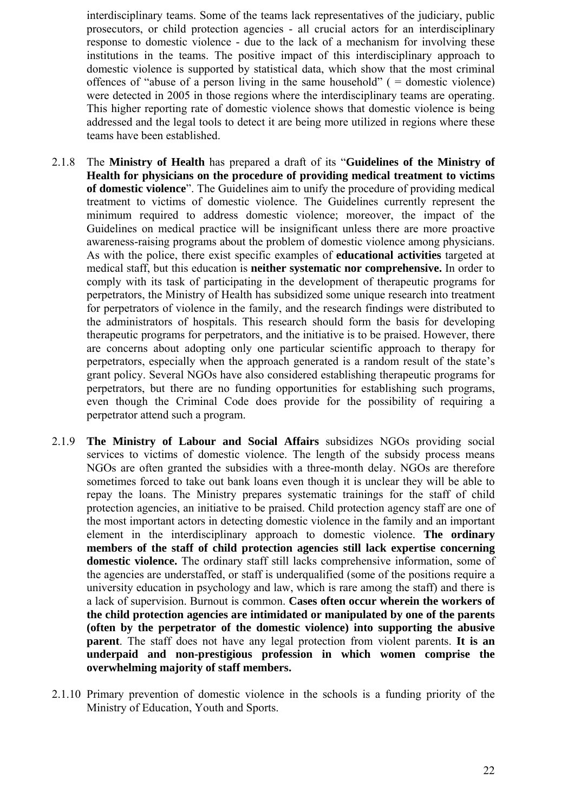interdisciplinary teams. Some of the teams lack representatives of the judiciary, public prosecutors, or child protection agencies - all crucial actors for an interdisciplinary response to domestic violence - due to the lack of a mechanism for involving these institutions in the teams. The positive impact of this interdisciplinary approach to domestic violence is supported by statistical data, which show that the most criminal offences of "abuse of a person living in the same household" ( $=$  domestic violence) were detected in 2005 in those regions where the interdisciplinary teams are operating. This higher reporting rate of domestic violence shows that domestic violence is being addressed and the legal tools to detect it are being more utilized in regions where these teams have been established.

- 2.1.8 The **Ministry of Health** has prepared a draft of its "**Guidelines of the Ministry of Health for physicians on the procedure of providing medical treatment to victims of domestic violence**". The Guidelines aim to unify the procedure of providing medical treatment to victims of domestic violence. The Guidelines currently represent the minimum required to address domestic violence; moreover, the impact of the Guidelines on medical practice will be insignificant unless there are more proactive awareness-raising programs about the problem of domestic violence among physicians. As with the police, there exist specific examples of **educational activities** targeted at medical staff, but this education is **neither systematic nor comprehensive.** In order to comply with its task of participating in the development of therapeutic programs for perpetrators, the Ministry of Health has subsidized some unique research into treatment for perpetrators of violence in the family, and the research findings were distributed to the administrators of hospitals. This research should form the basis for developing therapeutic programs for perpetrators, and the initiative is to be praised. However, there are concerns about adopting only one particular scientific approach to therapy for perpetrators, especially when the approach generated is a random result of the state's grant policy. Several NGOs have also considered establishing therapeutic programs for perpetrators, but there are no funding opportunities for establishing such programs, even though the Criminal Code does provide for the possibility of requiring a perpetrator attend such a program.
- 2.1.9 **The Ministry of Labour and Social Affairs** subsidizes NGOs providing social services to victims of domestic violence. The length of the subsidy process means NGOs are often granted the subsidies with a three-month delay. NGOs are therefore sometimes forced to take out bank loans even though it is unclear they will be able to repay the loans. The Ministry prepares systematic trainings for the staff of child protection agencies, an initiative to be praised. Child protection agency staff are one of the most important actors in detecting domestic violence in the family and an important element in the interdisciplinary approach to domestic violence. **The ordinary members of the staff of child protection agencies still lack expertise concerning domestic violence.** The ordinary staff still lacks comprehensive information, some of the agencies are understaffed, or staff is underqualified (some of the positions require a university education in psychology and law, which is rare among the staff) and there is a lack of supervision. Burnout is common. **Cases often occur wherein the workers of the child protection agencies are intimidated or manipulated by one of the parents (often by the perpetrator of the domestic violence) into supporting the abusive parent**. The staff does not have any legal protection from violent parents. **It is an underpaid and non-prestigious profession in which women comprise the overwhelming majority of staff members.**
- 2.1.10 Primary prevention of domestic violence in the schools is a funding priority of the Ministry of Education, Youth and Sports.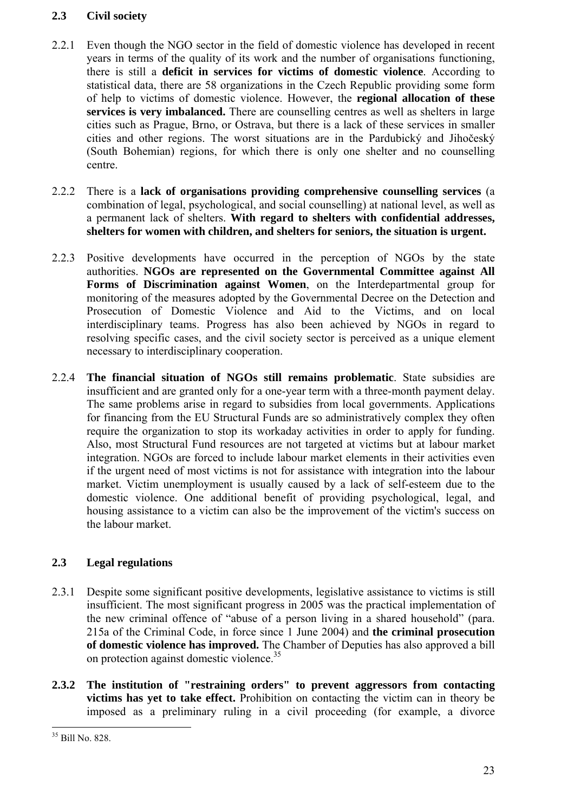# **2.3 Civil society**

- 2.2.1 Even though the NGO sector in the field of domestic violence has developed in recent years in terms of the quality of its work and the number of organisations functioning, there is still a **deficit in services for victims of domestic violence**. According to statistical data, there are 58 organizations in the Czech Republic providing some form of help to victims of domestic violence. However, the **regional allocation of these services is very imbalanced.** There are counselling centres as well as shelters in large cities such as Prague, Brno, or Ostrava, but there is a lack of these services in smaller cities and other regions. The worst situations are in the Pardubický and Jihočeský (South Bohemian) regions, for which there is only one shelter and no counselling centre.
- 2.2.2 There is a **lack of organisations providing comprehensive counselling services** (a combination of legal, psychological, and social counselling) at national level, as well as a permanent lack of shelters. **With regard to shelters with confidential addresses, shelters for women with children, and shelters for seniors, the situation is urgent.**
- 2.2.3 Positive developments have occurred in the perception of NGOs by the state authorities. **NGOs are represented on the Governmental Committee against All Forms of Discrimination against Women**, on the Interdepartmental group for monitoring of the measures adopted by the Governmental Decree on the Detection and Prosecution of Domestic Violence and Aid to the Victims, and on local interdisciplinary teams. Progress has also been achieved by NGOs in regard to resolving specific cases, and the civil society sector is perceived as a unique element necessary to interdisciplinary cooperation.
- 2.2.4 **The financial situation of NGOs still remains problematic**. State subsidies are insufficient and are granted only for a one-year term with a three-month payment delay. The same problems arise in regard to subsidies from local governments. Applications for financing from the EU Structural Funds are so administratively complex they often require the organization to stop its workaday activities in order to apply for funding. Also, most Structural Fund resources are not targeted at victims but at labour market integration. NGOs are forced to include labour market elements in their activities even if the urgent need of most victims is not for assistance with integration into the labour market. Victim unemployment is usually caused by a lack of self-esteem due to the domestic violence. One additional benefit of providing psychological, legal, and housing assistance to a victim can also be the improvement of the victim's success on the labour market.

# **2.3 Legal regulations**

- 2.3.1 Despite some significant positive developments, legislative assistance to victims is still insufficient. The most significant progress in 2005 was the practical implementation of the new criminal offence of "abuse of a person living in a shared household" (para. 215a of the Criminal Code, in force since 1 June 2004) and **the criminal prosecution of domestic violence has improved.** The Chamber of Deputies has also approved a bill on protection against domestic violence.<sup>35</sup>
- **2.3.2 The institution of "restraining orders" to prevent aggressors from contacting victims has yet to take effect.** Prohibition on contacting the victim can in theory be imposed as a preliminary ruling in a civil proceeding (for example, a divorce

 $\overline{a}$ 35 Bill No. 828.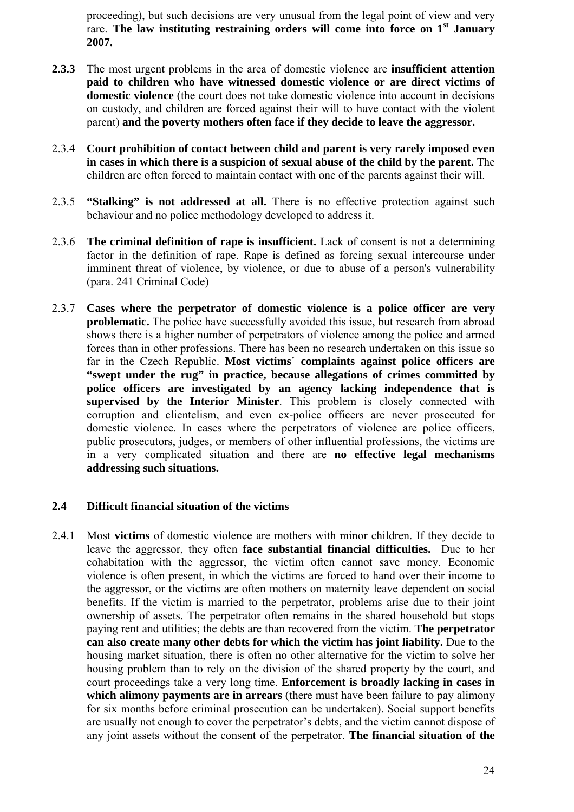proceeding), but such decisions are very unusual from the legal point of view and very rare. **The law instituting restraining orders will come into force on 1st January 2007.** 

- **2.3.3** The most urgent problems in the area of domestic violence are **insufficient attention paid to children who have witnessed domestic violence or are direct victims of domestic violence** (the court does not take domestic violence into account in decisions on custody, and children are forced against their will to have contact with the violent parent) **and the poverty mothers often face if they decide to leave the aggressor.**
- 2.3.4 **Court prohibition of contact between child and parent is very rarely imposed even in cases in which there is a suspicion of sexual abuse of the child by the parent.** The children are often forced to maintain contact with one of the parents against their will.
- 2.3.5 **"Stalking" is not addressed at all.** There is no effective protection against such behaviour and no police methodology developed to address it.
- 2.3.6 **The criminal definition of rape is insufficient.** Lack of consent is not a determining factor in the definition of rape. Rape is defined as forcing sexual intercourse under imminent threat of violence, by violence, or due to abuse of a person's vulnerability (para. 241 Criminal Code)
- 2.3.7 **Cases where the perpetrator of domestic violence is a police officer are very problematic.** The police have successfully avoided this issue, but research from abroad shows there is a higher number of perpetrators of violence among the police and armed forces than in other professions. There has been no research undertaken on this issue so far in the Czech Republic. **Most victims´ complaints against police officers are "swept under the rug" in practice, because allegations of crimes committed by police officers are investigated by an agency lacking independence that is supervised by the Interior Minister**. This problem is closely connected with corruption and clientelism, and even ex-police officers are never prosecuted for domestic violence. In cases where the perpetrators of violence are police officers, public prosecutors, judges, or members of other influential professions, the victims are in a very complicated situation and there are **no effective legal mechanisms addressing such situations.**

## **2.4 Difficult financial situation of the victims**

2.4.1 Most **victims** of domestic violence are mothers with minor children. If they decide to leave the aggressor, they often **face substantial financial difficulties.** Due to her cohabitation with the aggressor, the victim often cannot save money. Economic violence is often present, in which the victims are forced to hand over their income to the aggressor, or the victims are often mothers on maternity leave dependent on social benefits. If the victim is married to the perpetrator, problems arise due to their joint ownership of assets. The perpetrator often remains in the shared household but stops paying rent and utilities; the debts are than recovered from the victim. **The perpetrator can also create many other debts for which the victim has joint liability.** Due to the housing market situation, there is often no other alternative for the victim to solve her housing problem than to rely on the division of the shared property by the court, and court proceedings take a very long time. **Enforcement is broadly lacking in cases in which alimony payments are in arrears** (there must have been failure to pay alimony for six months before criminal prosecution can be undertaken). Social support benefits are usually not enough to cover the perpetrator's debts, and the victim cannot dispose of any joint assets without the consent of the perpetrator. **The financial situation of the**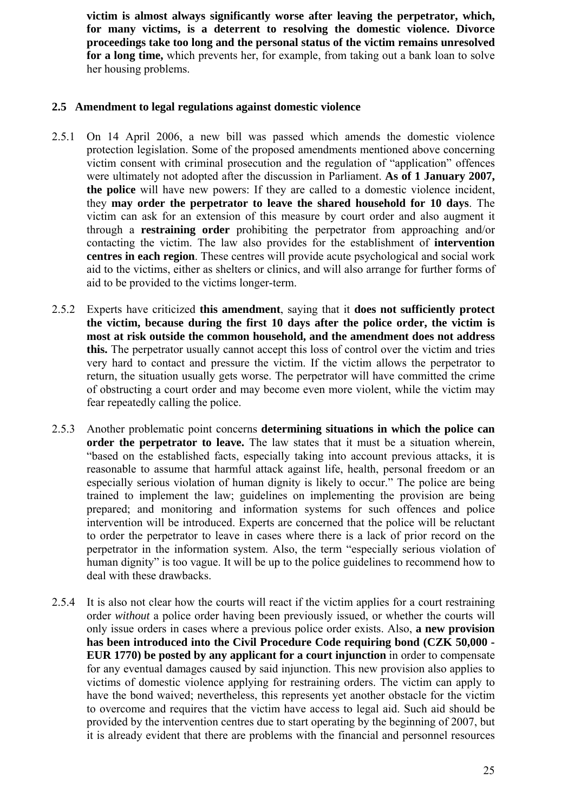**victim is almost always significantly worse after leaving the perpetrator, which, for many victims, is a deterrent to resolving the domestic violence. Divorce proceedings take too long and the personal status of the victim remains unresolved for a long time,** which prevents her, for example, from taking out a bank loan to solve her housing problems.

# **2.5 Amendment to legal regulations against domestic violence**

- 2.5.1 On 14 April 2006, a new bill was passed which amends the domestic violence protection legislation. Some of the proposed amendments mentioned above concerning victim consent with criminal prosecution and the regulation of "application" offences were ultimately not adopted after the discussion in Parliament. **As of 1 January 2007, the police** will have new powers: If they are called to a domestic violence incident, they **may order the perpetrator to leave the shared household for 10 days**. The victim can ask for an extension of this measure by court order and also augment it through a **restraining order** prohibiting the perpetrator from approaching and/or contacting the victim. The law also provides for the establishment of **intervention centres in each region**. These centres will provide acute psychological and social work aid to the victims, either as shelters or clinics, and will also arrange for further forms of aid to be provided to the victims longer-term.
- 2.5.2 Experts have criticized **this amendment**, saying that it **does not sufficiently protect the victim, because during the first 10 days after the police order, the victim is most at risk outside the common household, and the amendment does not address this.** The perpetrator usually cannot accept this loss of control over the victim and tries very hard to contact and pressure the victim. If the victim allows the perpetrator to return, the situation usually gets worse. The perpetrator will have committed the crime of obstructing a court order and may become even more violent, while the victim may fear repeatedly calling the police.
- 2.5.3 Another problematic point concerns **determining situations in which the police can order the perpetrator to leave.** The law states that it must be a situation wherein, "based on the established facts, especially taking into account previous attacks, it is reasonable to assume that harmful attack against life, health, personal freedom or an especially serious violation of human dignity is likely to occur." The police are being trained to implement the law; guidelines on implementing the provision are being prepared; and monitoring and information systems for such offences and police intervention will be introduced. Experts are concerned that the police will be reluctant to order the perpetrator to leave in cases where there is a lack of prior record on the perpetrator in the information system. Also, the term "especially serious violation of human dignity" is too vague. It will be up to the police guidelines to recommend how to deal with these drawbacks.
- 2.5.4 It is also not clear how the courts will react if the victim applies for a court restraining order *without* a police order having been previously issued, or whether the courts will only issue orders in cases where a previous police order exists. Also, **a new provision has been introduced into the Civil Procedure Code requiring bond (CZK 50,000 - EUR 1770) be posted by any applicant for a court injunction** in order to compensate for any eventual damages caused by said injunction. This new provision also applies to victims of domestic violence applying for restraining orders. The victim can apply to have the bond waived; nevertheless, this represents yet another obstacle for the victim to overcome and requires that the victim have access to legal aid. Such aid should be provided by the intervention centres due to start operating by the beginning of 2007, but it is already evident that there are problems with the financial and personnel resources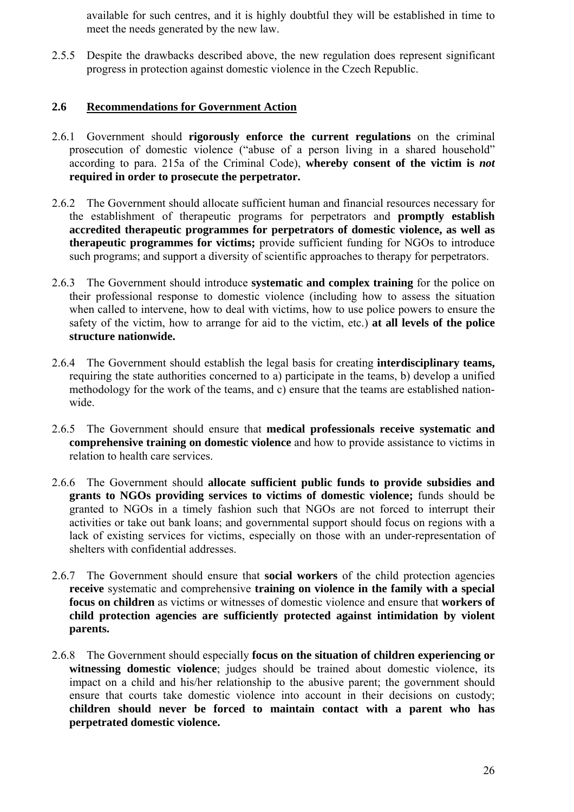available for such centres, and it is highly doubtful they will be established in time to meet the needs generated by the new law.

2.5.5 Despite the drawbacks described above, the new regulation does represent significant progress in protection against domestic violence in the Czech Republic.

# **2.6 Recommendations for Government Action**

- 2.6.1 Government should **rigorously enforce the current regulations** on the criminal prosecution of domestic violence ("abuse of a person living in a shared household" according to para. 215a of the Criminal Code), **whereby consent of the victim is** *not* **required in order to prosecute the perpetrator.**
- 2.6.2 The Government should allocate sufficient human and financial resources necessary for the establishment of therapeutic programs for perpetrators and **promptly establish accredited therapeutic programmes for perpetrators of domestic violence, as well as therapeutic programmes for victims;** provide sufficient funding for NGOs to introduce such programs; and support a diversity of scientific approaches to therapy for perpetrators.
- 2.6.3 The Government should introduce **systematic and complex training** for the police on their professional response to domestic violence (including how to assess the situation when called to intervene, how to deal with victims, how to use police powers to ensure the safety of the victim, how to arrange for aid to the victim, etc.) **at all levels of the police structure nationwide.**
- 2.6.4 The Government should establish the legal basis for creating **interdisciplinary teams,** requiring the state authorities concerned to a) participate in the teams, b) develop a unified methodology for the work of the teams, and c) ensure that the teams are established nationwide.
- 2.6.5 The Government should ensure that **medical professionals receive systematic and comprehensive training on domestic violence** and how to provide assistance to victims in relation to health care services.
- 2.6.6 The Government should **allocate sufficient public funds to provide subsidies and grants to NGOs providing services to victims of domestic violence;** funds should be granted to NGOs in a timely fashion such that NGOs are not forced to interrupt their activities or take out bank loans; and governmental support should focus on regions with a lack of existing services for victims, especially on those with an under-representation of shelters with confidential addresses.
- 2.6.7 The Government should ensure that **social workers** of the child protection agencies **receive** systematic and comprehensive **training on violence in the family with a special focus on children** as victims or witnesses of domestic violence and ensure that **workers of child protection agencies are sufficiently protected against intimidation by violent parents.**
- 2.6.8 The Government should especially **focus on the situation of children experiencing or witnessing domestic violence**; judges should be trained about domestic violence, its impact on a child and his/her relationship to the abusive parent; the government should ensure that courts take domestic violence into account in their decisions on custody; **children should never be forced to maintain contact with a parent who has perpetrated domestic violence.**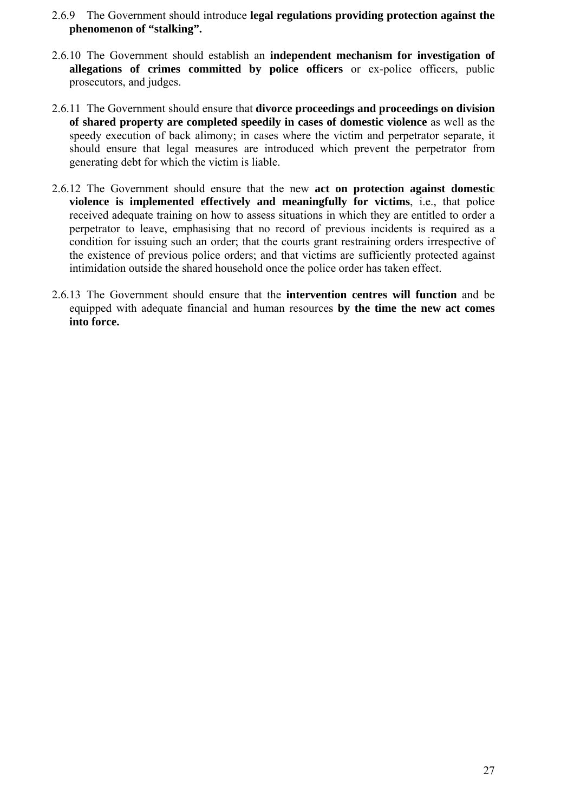- 2.6.9 The Government should introduce **legal regulations providing protection against the phenomenon of "stalking".**
- 2.6.10 The Government should establish an **independent mechanism for investigation of allegations of crimes committed by police officers** or ex-police officers, public prosecutors, and judges.
- 2.6.11 The Government should ensure that **divorce proceedings and proceedings on division of shared property are completed speedily in cases of domestic violence** as well as the speedy execution of back alimony; in cases where the victim and perpetrator separate, it should ensure that legal measures are introduced which prevent the perpetrator from generating debt for which the victim is liable.
- 2.6.12 The Government should ensure that the new **act on protection against domestic violence is implemented effectively and meaningfully for victims**, i.e., that police received adequate training on how to assess situations in which they are entitled to order a perpetrator to leave, emphasising that no record of previous incidents is required as a condition for issuing such an order; that the courts grant restraining orders irrespective of the existence of previous police orders; and that victims are sufficiently protected against intimidation outside the shared household once the police order has taken effect.
- 2.6.13 The Government should ensure that the **intervention centres will function** and be equipped with adequate financial and human resources **by the time the new act comes into force.**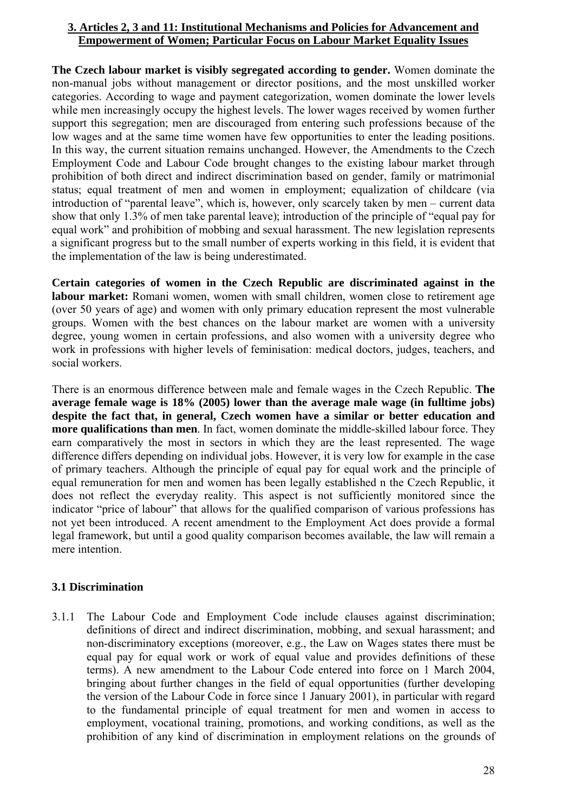# **3. Articles 2, 3 and 11: Institutional Mechanisms and Policies for Advancement and Empowerment of Women; Particular Focus on Labour Market Equality Issues**

**The Czech labour market is visibly segregated according to gender.** Women dominate the non-manual jobs without management or director positions, and the most unskilled worker categories. According to wage and payment categorization, women dominate the lower levels while men increasingly occupy the highest levels. The lower wages received by women further support this segregation; men are discouraged from entering such professions because of the low wages and at the same time women have few opportunities to enter the leading positions. In this way, the current situation remains unchanged. However, the Amendments to the Czech Employment Code and Labour Code brought changes to the existing labour market through prohibition of both direct and indirect discrimination based on gender, family or matrimonial status; equal treatment of men and women in employment; equalization of childcare (via introduction of "parental leave", which is, however, only scarcely taken by men – current data show that only 1.3% of men take parental leave); introduction of the principle of "equal pay for equal work" and prohibition of mobbing and sexual harassment. The new legislation represents a significant progress but to the small number of experts working in this field, it is evident that the implementation of the law is being underestimated.

**Certain categories of women in the Czech Republic are discriminated against in the labour market:** Romani women, women with small children, women close to retirement age (over 50 years of age) and women with only primary education represent the most vulnerable groups. Women with the best chances on the labour market are women with a university degree, young women in certain professions, and also women with a university degree who work in professions with higher levels of feminisation: medical doctors, judges, teachers, and social workers.

There is an enormous difference between male and female wages in the Czech Republic. **The average female wage is 18% (2005) lower than the average male wage (in fulltime jobs) despite the fact that, in general, Czech women have a similar or better education and more qualifications than men**. In fact, women dominate the middle-skilled labour force. They earn comparatively the most in sectors in which they are the least represented. The wage difference differs depending on individual jobs. However, it is very low for example in the case of primary teachers. Although the principle of equal pay for equal work and the principle of equal remuneration for men and women has been legally established n the Czech Republic, it does not reflect the everyday reality. This aspect is not sufficiently monitored since the indicator "price of labour" that allows for the qualified comparison of various professions has not yet been introduced. A recent amendment to the Employment Act does provide a formal legal framework, but until a good quality comparison becomes available, the law will remain a mere intention.

# **3.1 Discrimination**

3.1.1 The Labour Code and Employment Code include clauses against discrimination; definitions of direct and indirect discrimination, mobbing, and sexual harassment; and non-discriminatory exceptions (moreover, e.g., the Law on Wages states there must be equal pay for equal work or work of equal value and provides definitions of these terms). A new amendment to the Labour Code entered into force on 1 March 2004, bringing about further changes in the field of equal opportunities (further developing the version of the Labour Code in force since 1 January 2001), in particular with regard to the fundamental principle of equal treatment for men and women in access to employment, vocational training, promotions, and working conditions, as well as the prohibition of any kind of discrimination in employment relations on the grounds of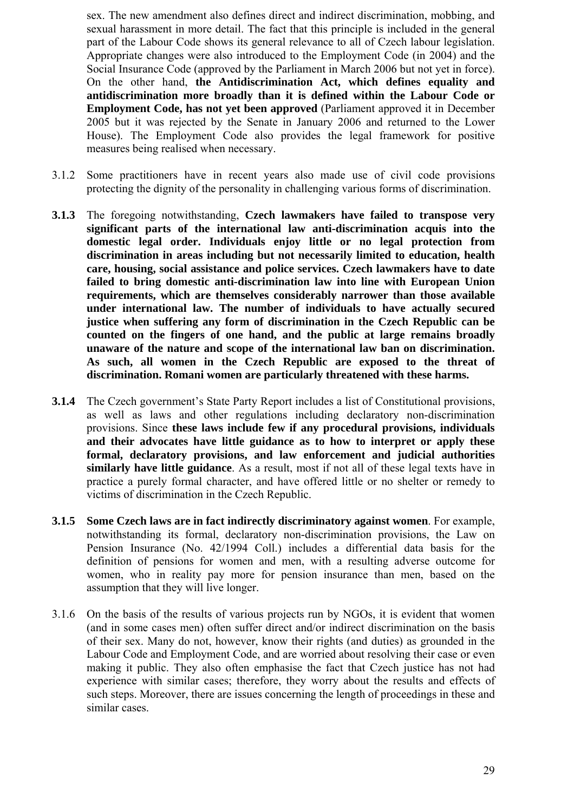sex. The new amendment also defines direct and indirect discrimination, mobbing, and sexual harassment in more detail. The fact that this principle is included in the general part of the Labour Code shows its general relevance to all of Czech labour legislation. Appropriate changes were also introduced to the Employment Code (in 2004) and the Social Insurance Code (approved by the Parliament in March 2006 but not yet in force). On the other hand, **the Antidiscrimination Act, which defines equality and antidiscrimination more broadly than it is defined within the Labour Code or Employment Code, has not yet been approved** (Parliament approved it in December 2005 but it was rejected by the Senate in January 2006 and returned to the Lower House). The Employment Code also provides the legal framework for positive measures being realised when necessary.

- 3.1.2 Some practitioners have in recent years also made use of civil code provisions protecting the dignity of the personality in challenging various forms of discrimination.
- **3.1.3** The foregoing notwithstanding, **Czech lawmakers have failed to transpose very significant parts of the international law anti-discrimination acquis into the domestic legal order. Individuals enjoy little or no legal protection from discrimination in areas including but not necessarily limited to education, health care, housing, social assistance and police services. Czech lawmakers have to date failed to bring domestic anti-discrimination law into line with European Union requirements, which are themselves considerably narrower than those available under international law. The number of individuals to have actually secured justice when suffering any form of discrimination in the Czech Republic can be counted on the fingers of one hand, and the public at large remains broadly unaware of the nature and scope of the international law ban on discrimination. As such, all women in the Czech Republic are exposed to the threat of discrimination. Romani women are particularly threatened with these harms.**
- **3.1.4** The Czech government's State Party Report includes a list of Constitutional provisions, as well as laws and other regulations including declaratory non-discrimination provisions. Since **these laws include few if any procedural provisions, individuals and their advocates have little guidance as to how to interpret or apply these formal, declaratory provisions, and law enforcement and judicial authorities similarly have little guidance**. As a result, most if not all of these legal texts have in practice a purely formal character, and have offered little or no shelter or remedy to victims of discrimination in the Czech Republic.
- **3.1.5 Some Czech laws are in fact indirectly discriminatory against women**. For example, notwithstanding its formal, declaratory non-discrimination provisions, the Law on Pension Insurance (No. 42/1994 Coll.) includes a differential data basis for the definition of pensions for women and men, with a resulting adverse outcome for women, who in reality pay more for pension insurance than men, based on the assumption that they will live longer.
- 3.1.6 On the basis of the results of various projects run by NGOs, it is evident that women (and in some cases men) often suffer direct and/or indirect discrimination on the basis of their sex. Many do not, however, know their rights (and duties) as grounded in the Labour Code and Employment Code, and are worried about resolving their case or even making it public. They also often emphasise the fact that Czech justice has not had experience with similar cases; therefore, they worry about the results and effects of such steps. Moreover, there are issues concerning the length of proceedings in these and similar cases.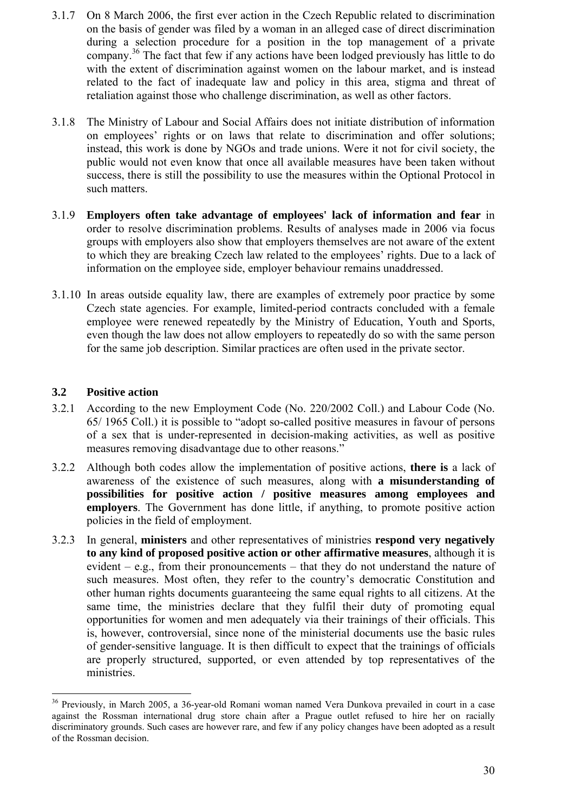- 3.1.7 On 8 March 2006, the first ever action in the Czech Republic related to discrimination on the basis of gender was filed by a woman in an alleged case of direct discrimination during a selection procedure for a position in the top management of a private company.36 The fact that few if any actions have been lodged previously has little to do with the extent of discrimination against women on the labour market, and is instead related to the fact of inadequate law and policy in this area, stigma and threat of retaliation against those who challenge discrimination, as well as other factors.
- 3.1.8 The Ministry of Labour and Social Affairs does not initiate distribution of information on employees' rights or on laws that relate to discrimination and offer solutions; instead, this work is done by NGOs and trade unions. Were it not for civil society, the public would not even know that once all available measures have been taken without success, there is still the possibility to use the measures within the Optional Protocol in such matters.
- 3.1.9 **Employers often take advantage of employees' lack of information and fear** in order to resolve discrimination problems. Results of analyses made in 2006 via focus groups with employers also show that employers themselves are not aware of the extent to which they are breaking Czech law related to the employees' rights. Due to a lack of information on the employee side, employer behaviour remains unaddressed.
- 3.1.10 In areas outside equality law, there are examples of extremely poor practice by some Czech state agencies. For example, limited-period contracts concluded with a female employee were renewed repeatedly by the Ministry of Education, Youth and Sports, even though the law does not allow employers to repeatedly do so with the same person for the same job description. Similar practices are often used in the private sector.

# **3.2 Positive action**

- 3.2.1 According to the new Employment Code (No. 220/2002 Coll.) and Labour Code (No. 65/ 1965 Coll.) it is possible to "adopt so-called positive measures in favour of persons of a sex that is under-represented in decision-making activities, as well as positive measures removing disadvantage due to other reasons."
- 3.2.2 Although both codes allow the implementation of positive actions, **there is** a lack of awareness of the existence of such measures, along with **a misunderstanding of possibilities for positive action / positive measures among employees and employers**. The Government has done little, if anything, to promote positive action policies in the field of employment.
- 3.2.3 In general, **ministers** and other representatives of ministries **respond very negatively to any kind of proposed positive action or other affirmative measures**, although it is evident – e.g., from their pronouncements – that they do not understand the nature of such measures. Most often, they refer to the country's democratic Constitution and other human rights documents guaranteeing the same equal rights to all citizens. At the same time, the ministries declare that they fulfil their duty of promoting equal opportunities for women and men adequately via their trainings of their officials. This is, however, controversial, since none of the ministerial documents use the basic rules of gender-sensitive language. It is then difficult to expect that the trainings of officials are properly structured, supported, or even attended by top representatives of the ministries.

<sup>36</sup> Previously, in March 2005, a 36-year-old Romani woman named Vera Dunkova prevailed in court in a case against the Rossman international drug store chain after a Prague outlet refused to hire her on racially discriminatory grounds. Such cases are however rare, and few if any policy changes have been adopted as a result of the Rossman decision.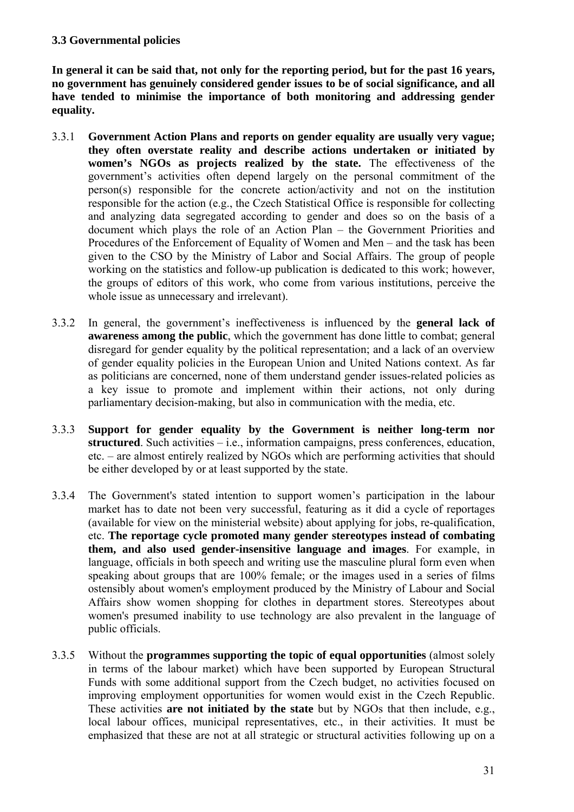# **3.3 Governmental policies**

**In general it can be said that, not only for the reporting period, but for the past 16 years, no government has genuinely considered gender issues to be of social significance, and all have tended to minimise the importance of both monitoring and addressing gender equality.** 

- 3.3.1 **Government Action Plans and reports on gender equality are usually very vague; they often overstate reality and describe actions undertaken or initiated by women's NGOs as projects realized by the state.** The effectiveness of the government's activities often depend largely on the personal commitment of the person(s) responsible for the concrete action/activity and not on the institution responsible for the action (e.g., the Czech Statistical Office is responsible for collecting and analyzing data segregated according to gender and does so on the basis of a document which plays the role of an Action Plan – the Government Priorities and Procedures of the Enforcement of Equality of Women and Men – and the task has been given to the CSO by the Ministry of Labor and Social Affairs. The group of people working on the statistics and follow-up publication is dedicated to this work; however, the groups of editors of this work, who come from various institutions, perceive the whole issue as unnecessary and irrelevant).
- 3.3.2 In general, the government's ineffectiveness is influenced by the **general lack of awareness among the public**, which the government has done little to combat; general disregard for gender equality by the political representation; and a lack of an overview of gender equality policies in the European Union and United Nations context. As far as politicians are concerned, none of them understand gender issues-related policies as a key issue to promote and implement within their actions, not only during parliamentary decision-making, but also in communication with the media, etc.
- 3.3.3 **Support for gender equality by the Government is neither long-term nor structured**. Such activities – i.e., information campaigns, press conferences, education, etc. – are almost entirely realized by NGOs which are performing activities that should be either developed by or at least supported by the state.
- 3.3.4 The Government's stated intention to support women's participation in the labour market has to date not been very successful, featuring as it did a cycle of reportages (available for view on the ministerial website) about applying for jobs, re-qualification, etc. **The reportage cycle promoted many gender stereotypes instead of combating them, and also used gender-insensitive language and images**. For example, in language, officials in both speech and writing use the masculine plural form even when speaking about groups that are 100% female; or the images used in a series of films ostensibly about women's employment produced by the Ministry of Labour and Social Affairs show women shopping for clothes in department stores. Stereotypes about women's presumed inability to use technology are also prevalent in the language of public officials.
- 3.3.5 Without the **programmes supporting the topic of equal opportunities** (almost solely in terms of the labour market) which have been supported by European Structural Funds with some additional support from the Czech budget, no activities focused on improving employment opportunities for women would exist in the Czech Republic. These activities **are not initiated by the state** but by NGOs that then include, e.g., local labour offices, municipal representatives, etc., in their activities. It must be emphasized that these are not at all strategic or structural activities following up on a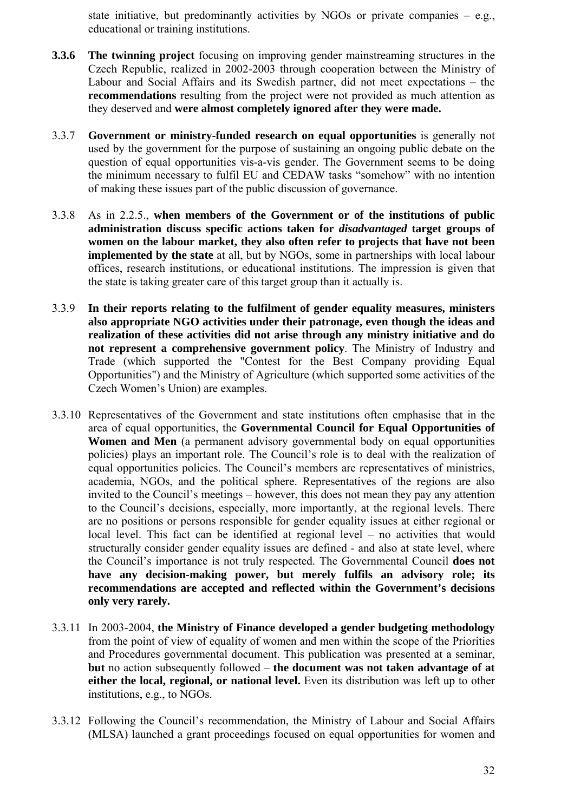state initiative, but predominantly activities by NGOs or private companies  $-$  e.g., educational or training institutions.

- **3.3.6 The twinning project** focusing on improving gender mainstreaming structures in the Czech Republic, realized in 2002-2003 through cooperation between the Ministry of Labour and Social Affairs and its Swedish partner, did not meet expectations – the **recommendations** resulting from the project were not provided as much attention as they deserved and **were almost completely ignored after they were made.**
- 3.3.7 **Government or ministry-funded research on equal opportunities** is generally not used by the government for the purpose of sustaining an ongoing public debate on the question of equal opportunities vis-a-vis gender. The Government seems to be doing the minimum necessary to fulfil EU and CEDAW tasks "somehow" with no intention of making these issues part of the public discussion of governance.
- 3.3.8 As in 2.2.5., **when members of the Government or of the institutions of public administration discuss specific actions taken for** *disadvantaged* **target groups of women on the labour market, they also often refer to projects that have not been implemented by the state** at all, but by NGOs, some in partnerships with local labour offices, research institutions, or educational institutions. The impression is given that the state is taking greater care of this target group than it actually is.
- 3.3.9 **In their reports relating to the fulfilment of gender equality measures, ministers also appropriate NGO activities under their patronage, even though the ideas and realization of these activities did not arise through any ministry initiative and do not represent a comprehensive government policy**. The Ministry of Industry and Trade (which supported the "Contest for the Best Company providing Equal Opportunities") and the Ministry of Agriculture (which supported some activities of the Czech Women's Union) are examples.
- 3.3.10 Representatives of the Government and state institutions often emphasise that in the area of equal opportunities, the **Governmental Council for Equal Opportunities of Women and Men** (a permanent advisory governmental body on equal opportunities policies) plays an important role. The Council's role is to deal with the realization of equal opportunities policies. The Council's members are representatives of ministries, academia, NGOs, and the political sphere. Representatives of the regions are also invited to the Council's meetings – however, this does not mean they pay any attention to the Council's decisions, especially, more importantly, at the regional levels. There are no positions or persons responsible for gender equality issues at either regional or local level. This fact can be identified at regional level – no activities that would structurally consider gender equality issues are defined - and also at state level, where the Council's importance is not truly respected. The Governmental Council **does not have any decision-making power, but merely fulfils an advisory role; its recommendations are accepted and reflected within the Government's decisions only very rarely.**
- 3.3.11 In 2003-2004, **the Ministry of Finance developed a gender budgeting methodology** from the point of view of equality of women and men within the scope of the Priorities and Procedures governmental document. This publication was presented at a seminar, **but** no action subsequently followed – **the document was not taken advantage of at either the local, regional, or national level.** Even its distribution was left up to other institutions, e.g., to NGOs.
- 3.3.12 Following the Council's recommendation, the Ministry of Labour and Social Affairs (MLSA) launched a grant proceedings focused on equal opportunities for women and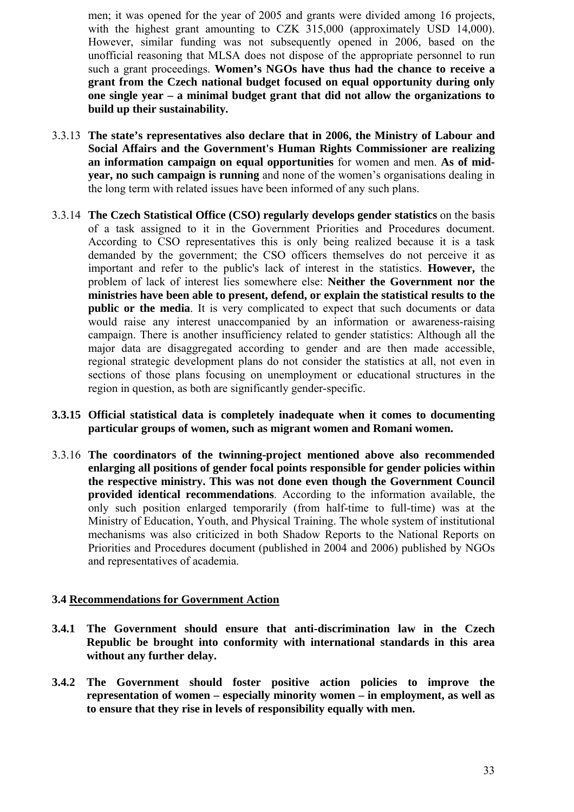men; it was opened for the year of 2005 and grants were divided among 16 projects, with the highest grant amounting to CZK 315,000 (approximately USD 14,000). However, similar funding was not subsequently opened in 2006, based on the unofficial reasoning that MLSA does not dispose of the appropriate personnel to run such a grant proceedings. **Women's NGOs have thus had the chance to receive a grant from the Czech national budget focused on equal opportunity during only one single year – a minimal budget grant that did not allow the organizations to build up their sustainability.**

- 3.3.13 **The state's representatives also declare that in 2006, the Ministry of Labour and Social Affairs and the Government's Human Rights Commissioner are realizing an information campaign on equal opportunities** for women and men. **As of midyear, no such campaign is running** and none of the women's organisations dealing in the long term with related issues have been informed of any such plans.
- 3.3.14 **The Czech Statistical Office (CSO) regularly develops gender statistics** on the basis of a task assigned to it in the Government Priorities and Procedures document. According to CSO representatives this is only being realized because it is a task demanded by the government; the CSO officers themselves do not perceive it as important and refer to the public's lack of interest in the statistics. **However,** the problem of lack of interest lies somewhere else: **Neither the Government nor the ministries have been able to present, defend, or explain the statistical results to the public or the media**. It is very complicated to expect that such documents or data would raise any interest unaccompanied by an information or awareness-raising campaign. There is another insufficiency related to gender statistics: Although all the major data are disaggregated according to gender and are then made accessible, regional strategic development plans do not consider the statistics at all, not even in sections of those plans focusing on unemployment or educational structures in the region in question, as both are significantly gender-specific.
- **3.3.15 Official statistical data is completely inadequate when it comes to documenting particular groups of women, such as migrant women and Romani women.**
- 3.3.16 **The coordinators of the twinning-project mentioned above also recommended enlarging all positions of gender focal points responsible for gender policies within the respective ministry. This was not done even though the Government Council provided identical recommendations**. According to the information available, the only such position enlarged temporarily (from half-time to full-time) was at the Ministry of Education, Youth, and Physical Training. The whole system of institutional mechanisms was also criticized in both Shadow Reports to the National Reports on Priorities and Procedures document (published in 2004 and 2006) published by NGOs and representatives of academia.

## **3.4 Recommendations for Government Action**

- **3.4.1 The Government should ensure that anti-discrimination law in the Czech Republic be brought into conformity with international standards in this area without any further delay.**
- **3.4.2 The Government should foster positive action policies to improve the representation of women – especially minority women – in employment, as well as to ensure that they rise in levels of responsibility equally with men.**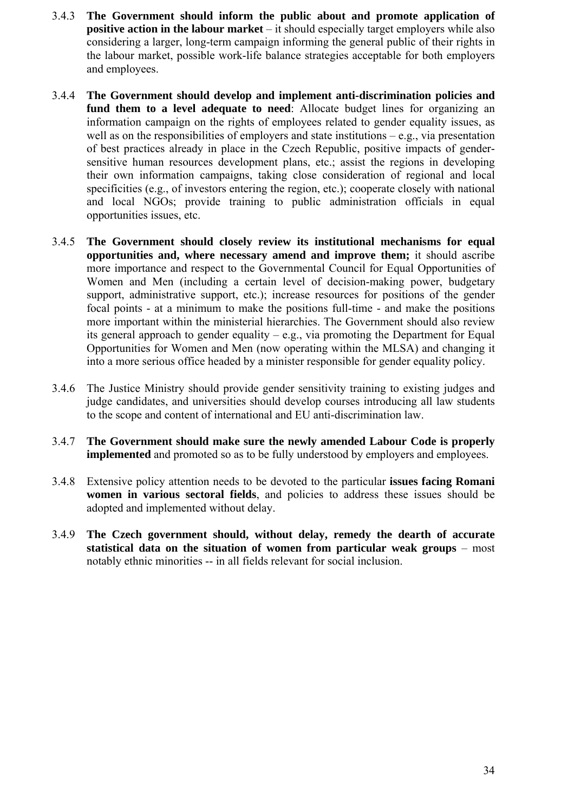- 3.4.3 **The Government should inform the public about and promote application of positive action in the labour market** – it should especially target employers while also considering a larger, long-term campaign informing the general public of their rights in the labour market, possible work-life balance strategies acceptable for both employers and employees.
- 3.4.4 **The Government should develop and implement anti-discrimination policies and fund them to a level adequate to need**: Allocate budget lines for organizing an information campaign on the rights of employees related to gender equality issues, as well as on the responsibilities of employers and state institutions  $-e.g.,$  via presentation of best practices already in place in the Czech Republic, positive impacts of gendersensitive human resources development plans, etc.; assist the regions in developing their own information campaigns, taking close consideration of regional and local specificities (e.g., of investors entering the region, etc.); cooperate closely with national and local NGOs; provide training to public administration officials in equal opportunities issues, etc.
- 3.4.5 **The Government should closely review its institutional mechanisms for equal opportunities and, where necessary amend and improve them;** it should ascribe more importance and respect to the Governmental Council for Equal Opportunities of Women and Men (including a certain level of decision-making power, budgetary support, administrative support, etc.); increase resources for positions of the gender focal points - at a minimum to make the positions full-time - and make the positions more important within the ministerial hierarchies. The Government should also review its general approach to gender equality – e.g., via promoting the Department for Equal Opportunities for Women and Men (now operating within the MLSA) and changing it into a more serious office headed by a minister responsible for gender equality policy.
- 3.4.6 The Justice Ministry should provide gender sensitivity training to existing judges and judge candidates, and universities should develop courses introducing all law students to the scope and content of international and EU anti-discrimination law.
- 3.4.7 **The Government should make sure the newly amended Labour Code is properly implemented** and promoted so as to be fully understood by employers and employees.
- 3.4.8 Extensive policy attention needs to be devoted to the particular **issues facing Romani women in various sectoral fields**, and policies to address these issues should be adopted and implemented without delay.
- 3.4.9 **The Czech government should, without delay, remedy the dearth of accurate statistical data on the situation of women from particular weak groups** – most notably ethnic minorities -- in all fields relevant for social inclusion.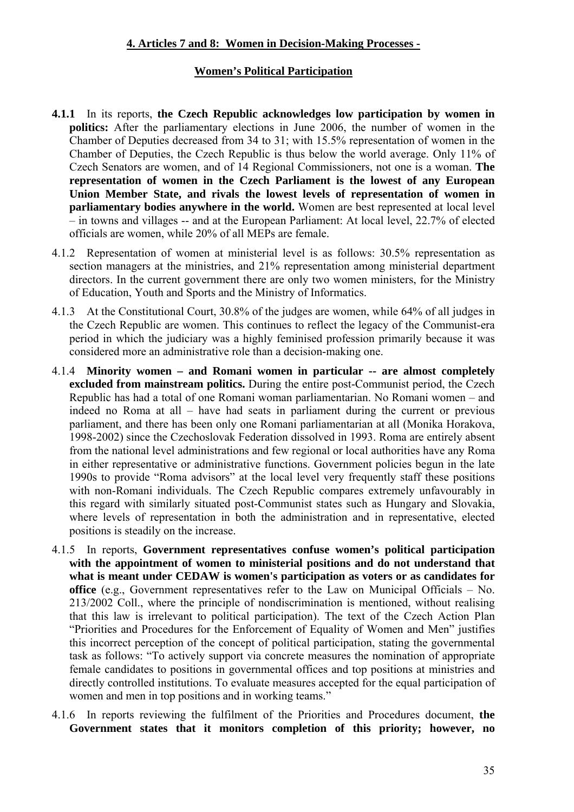# **4. Articles 7 and 8: Women in Decision-Making Processes -**

# **Women's Political Participation**

- **4.1.1** In its reports, **the Czech Republic acknowledges low participation by women in politics:** After the parliamentary elections in June 2006, the number of women in the Chamber of Deputies decreased from 34 to 31; with 15.5% representation of women in the Chamber of Deputies, the Czech Republic is thus below the world average. Only 11% of Czech Senators are women, and of 14 Regional Commissioners, not one is a woman. **The representation of women in the Czech Parliament is the lowest of any European Union Member State, and rivals the lowest levels of representation of women in parliamentary bodies anywhere in the world.** Women are best represented at local level – in towns and villages -- and at the European Parliament: At local level, 22.7% of elected officials are women, while 20% of all MEPs are female.
- 4.1.2 Representation of women at ministerial level is as follows: 30.5% representation as section managers at the ministries, and 21% representation among ministerial department directors. In the current government there are only two women ministers, for the Ministry of Education, Youth and Sports and the Ministry of Informatics.
- 4.1.3 At the Constitutional Court, 30.8% of the judges are women, while 64% of all judges in the Czech Republic are women. This continues to reflect the legacy of the Communist-era period in which the judiciary was a highly feminised profession primarily because it was considered more an administrative role than a decision-making one.
- 4.1.4 **Minority women and Romani women in particular -- are almost completely excluded from mainstream politics.** During the entire post-Communist period, the Czech Republic has had a total of one Romani woman parliamentarian. No Romani women – and indeed no Roma at all – have had seats in parliament during the current or previous parliament, and there has been only one Romani parliamentarian at all (Monika Horakova, 1998-2002) since the Czechoslovak Federation dissolved in 1993. Roma are entirely absent from the national level administrations and few regional or local authorities have any Roma in either representative or administrative functions. Government policies begun in the late 1990s to provide "Roma advisors" at the local level very frequently staff these positions with non-Romani individuals. The Czech Republic compares extremely unfavourably in this regard with similarly situated post-Communist states such as Hungary and Slovakia, where levels of representation in both the administration and in representative, elected positions is steadily on the increase.
- 4.1.5 In reports, **Government representatives confuse women's political participation with the appointment of women to ministerial positions and do not understand that what is meant under CEDAW is women's participation as voters or as candidates for office** (e.g., Government representatives refer to the Law on Municipal Officials – No. 213/2002 Coll., where the principle of nondiscrimination is mentioned, without realising that this law is irrelevant to political participation). The text of the Czech Action Plan "Priorities and Procedures for the Enforcement of Equality of Women and Men" justifies this incorrect perception of the concept of political participation, stating the governmental task as follows: "To actively support via concrete measures the nomination of appropriate female candidates to positions in governmental offices and top positions at ministries and directly controlled institutions. To evaluate measures accepted for the equal participation of women and men in top positions and in working teams."
- 4.1.6 In reports reviewing the fulfilment of the Priorities and Procedures document, **the Government states that it monitors completion of this priority; however, no**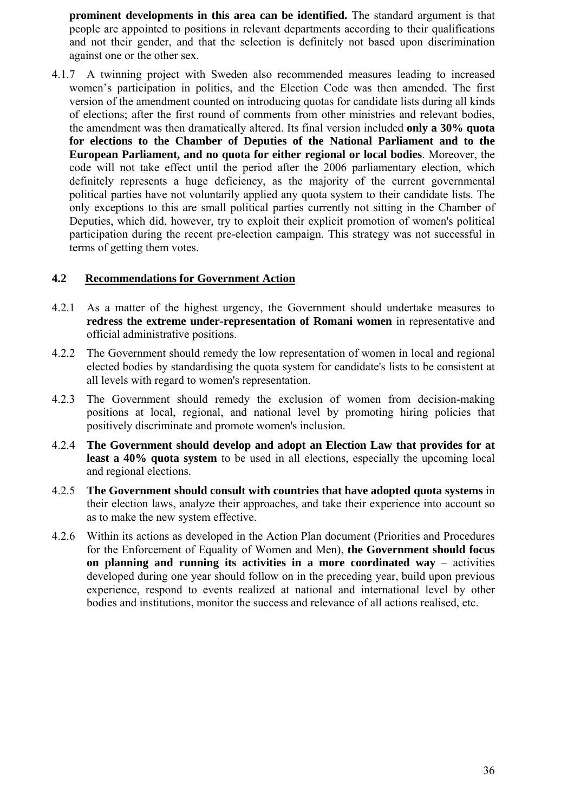**prominent developments in this area can be identified.** The standard argument is that people are appointed to positions in relevant departments according to their qualifications and not their gender, and that the selection is definitely not based upon discrimination against one or the other sex.

4.1.7 A twinning project with Sweden also recommended measures leading to increased women's participation in politics, and the Election Code was then amended. The first version of the amendment counted on introducing quotas for candidate lists during all kinds of elections; after the first round of comments from other ministries and relevant bodies, the amendment was then dramatically altered. Its final version included **only a 30% quota for elections to the Chamber of Deputies of the National Parliament and to the European Parliament, and no quota for either regional or local bodies**. Moreover, the code will not take effect until the period after the 2006 parliamentary election, which definitely represents a huge deficiency, as the majority of the current governmental political parties have not voluntarily applied any quota system to their candidate lists. The only exceptions to this are small political parties currently not sitting in the Chamber of Deputies, which did, however, try to exploit their explicit promotion of women's political participation during the recent pre-election campaign. This strategy was not successful in terms of getting them votes.

# **4.2 Recommendations for Government Action**

- 4.2.1 As a matter of the highest urgency, the Government should undertake measures to **redress the extreme under-representation of Romani women** in representative and official administrative positions.
- 4.2.2 The Government should remedy the low representation of women in local and regional elected bodies by standardising the quota system for candidate's lists to be consistent at all levels with regard to women's representation.
- 4.2.3 The Government should remedy the exclusion of women from decision-making positions at local, regional, and national level by promoting hiring policies that positively discriminate and promote women's inclusion.
- 4.2.4 **The Government should develop and adopt an Election Law that provides for at least a 40% quota system** to be used in all elections, especially the upcoming local and regional elections.
- 4.2.5 **The Government should consult with countries that have adopted quota systems** in their election laws, analyze their approaches, and take their experience into account so as to make the new system effective.
- 4.2.6 Within its actions as developed in the Action Plan document (Priorities and Procedures for the Enforcement of Equality of Women and Men), **the Government should focus on planning and running its activities in a more coordinated way** – activities developed during one year should follow on in the preceding year, build upon previous experience, respond to events realized at national and international level by other bodies and institutions, monitor the success and relevance of all actions realised, etc.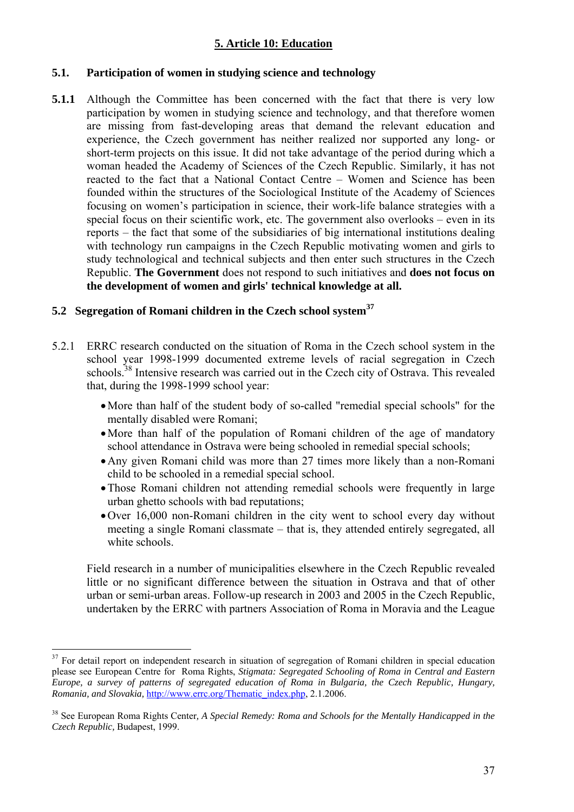# **5. Article 10: Education**

# **5.1. Participation of women in studying science and technology**

**5.1.1** Although the Committee has been concerned with the fact that there is very low participation by women in studying science and technology, and that therefore women are missing from fast-developing areas that demand the relevant education and experience, the Czech government has neither realized nor supported any long- or short-term projects on this issue. It did not take advantage of the period during which a woman headed the Academy of Sciences of the Czech Republic. Similarly, it has not reacted to the fact that a National Contact Centre – Women and Science has been founded within the structures of the Sociological Institute of the Academy of Sciences focusing on women's participation in science, their work-life balance strategies with a special focus on their scientific work, etc. The government also overlooks – even in its reports – the fact that some of the subsidiaries of big international institutions dealing with technology run campaigns in the Czech Republic motivating women and girls to study technological and technical subjects and then enter such structures in the Czech Republic. **The Government** does not respond to such initiatives and **does not focus on the development of women and girls' technical knowledge at all.** 

# **5.2 Segregation of Romani children in the Czech school system37**

- 5.2.1 ERRC research conducted on the situation of Roma in the Czech school system in the school year 1998-1999 documented extreme levels of racial segregation in Czech schools.<sup>38</sup> Intensive research was carried out in the Czech city of Ostrava. This revealed that, during the 1998-1999 school year:
	- •More than half of the student body of so-called "remedial special schools" for the mentally disabled were Romani;
	- •More than half of the population of Romani children of the age of mandatory school attendance in Ostrava were being schooled in remedial special schools;
	- •Any given Romani child was more than 27 times more likely than a non-Romani child to be schooled in a remedial special school.
	- •Those Romani children not attending remedial schools were frequently in large urban ghetto schools with bad reputations;
	- •Over 16,000 non-Romani children in the city went to school every day without meeting a single Romani classmate – that is, they attended entirely segregated, all white schools.

Field research in a number of municipalities elsewhere in the Czech Republic revealed little or no significant difference between the situation in Ostrava and that of other urban or semi-urban areas. Follow-up research in 2003 and 2005 in the Czech Republic, undertaken by the ERRC with partners Association of Roma in Moravia and the League

 $37$  For detail report on independent research in situation of segregation of Romani children in special education please see European Centre for Roma Rights, *Stigmata: Segregated Schooling of Roma in Central and Eastern Europe, a survey of patterns of segregated education of Roma in Bulgaria, the Czech Republic, Hungary, Romania, and Slovakia,* http://www.errc.org/Thematic\_index.php, 2.1.2006.

<sup>38</sup> See European Roma Rights Center*, A Special Remedy: Roma and Schools for the Mentally Handicapped in the Czech Republic,* Budapest, 1999.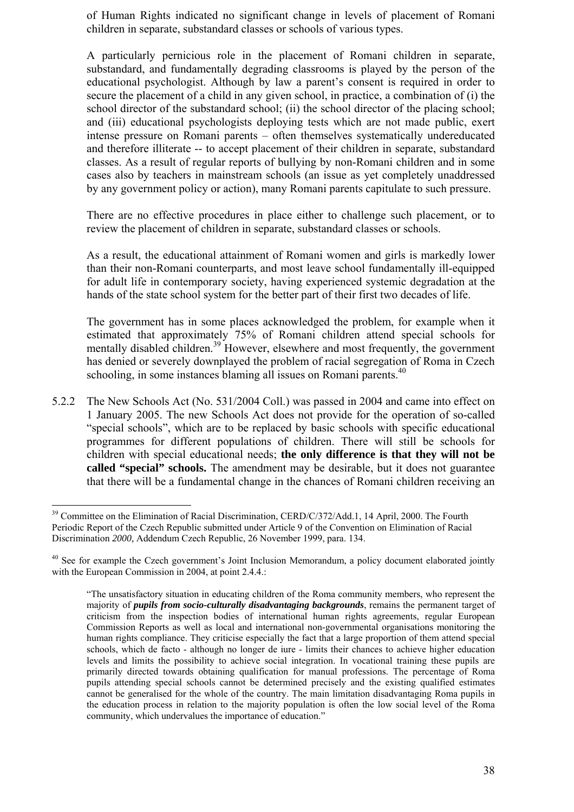of Human Rights indicated no significant change in levels of placement of Romani children in separate, substandard classes or schools of various types.

A particularly pernicious role in the placement of Romani children in separate, substandard, and fundamentally degrading classrooms is played by the person of the educational psychologist. Although by law a parent's consent is required in order to secure the placement of a child in any given school, in practice, a combination of (i) the school director of the substandard school; (ii) the school director of the placing school; and (iii) educational psychologists deploying tests which are not made public, exert intense pressure on Romani parents – often themselves systematically undereducated and therefore illiterate -- to accept placement of their children in separate, substandard classes. As a result of regular reports of bullying by non-Romani children and in some cases also by teachers in mainstream schools (an issue as yet completely unaddressed by any government policy or action), many Romani parents capitulate to such pressure.

There are no effective procedures in place either to challenge such placement, or to review the placement of children in separate, substandard classes or schools.

As a result, the educational attainment of Romani women and girls is markedly lower than their non-Romani counterparts, and most leave school fundamentally ill-equipped for adult life in contemporary society, having experienced systemic degradation at the hands of the state school system for the better part of their first two decades of life.

The government has in some places acknowledged the problem, for example when it estimated that approximately 75% of Romani children attend special schools for mentally disabled children.<sup>39</sup> However, elsewhere and most frequently, the government has denied or severely downplayed the problem of racial segregation of Roma in Czech schooling, in some instances blaming all issues on Romani parents.<sup>40</sup>

5.2.2 The New Schools Act (No. 531/2004 Coll.) was passed in 2004 and came into effect on 1 January 2005. The new Schools Act does not provide for the operation of so-called "special schools", which are to be replaced by basic schools with specific educational programmes for different populations of children. There will still be schools for children with special educational needs; **the only difference is that they will not be called "special" schools.** The amendment may be desirable, but it does not guarantee that there will be a fundamental change in the chances of Romani children receiving an

<sup>&</sup>lt;sup>39</sup> Committee on the Elimination of Racial Discrimination, CERD/C/372/Add.1, 14 April, 2000. The Fourth Periodic Report of the Czech Republic submitted under Article 9 of the Convention on Elimination of Racial Discrimination *2000,* Addendum Czech Republic, 26 November 1999, para. 134.

<sup>&</sup>lt;sup>40</sup> See for example the Czech government's Joint Inclusion Memorandum, a policy document elaborated jointly with the European Commission in 2004, at point 2.4.4.:

<sup>&</sup>quot;The unsatisfactory situation in educating children of the Roma community members, who represent the majority of *pupils from socio-culturally disadvantaging backgrounds*, remains the permanent target of criticism from the inspection bodies of international human rights agreements, regular European Commission Reports as well as local and international non-governmental organisations monitoring the human rights compliance. They criticise especially the fact that a large proportion of them attend special schools, which de facto - although no longer de iure - limits their chances to achieve higher education levels and limits the possibility to achieve social integration. In vocational training these pupils are primarily directed towards obtaining qualification for manual professions. The percentage of Roma pupils attending special schools cannot be determined precisely and the existing qualified estimates cannot be generalised for the whole of the country. The main limitation disadvantaging Roma pupils in the education process in relation to the majority population is often the low social level of the Roma community, which undervalues the importance of education."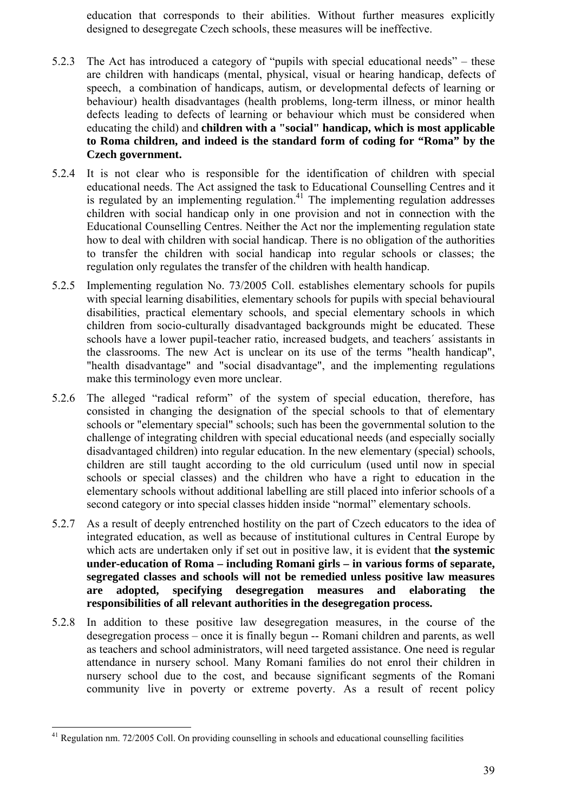education that corresponds to their abilities. Without further measures explicitly designed to desegregate Czech schools, these measures will be ineffective.

- 5.2.3 The Act has introduced a category of "pupils with special educational needs" these are children with handicaps (mental, physical, visual or hearing handicap, defects of speech, a combination of handicaps, autism, or developmental defects of learning or behaviour) health disadvantages (health problems, long-term illness, or minor health defects leading to defects of learning or behaviour which must be considered when educating the child) and **children with a "social" handicap, which is most applicable to Roma children, and indeed is the standard form of coding for "Roma" by the Czech government.**
- 5.2.4 It is not clear who is responsible for the identification of children with special educational needs. The Act assigned the task to Educational Counselling Centres and it is regulated by an implementing regulation. $41$  The implementing regulation addresses children with social handicap only in one provision and not in connection with the Educational Counselling Centres. Neither the Act nor the implementing regulation state how to deal with children with social handicap. There is no obligation of the authorities to transfer the children with social handicap into regular schools or classes; the regulation only regulates the transfer of the children with health handicap.
- 5.2.5 Implementing regulation No. 73/2005 Coll. establishes elementary schools for pupils with special learning disabilities, elementary schools for pupils with special behavioural disabilities, practical elementary schools, and special elementary schools in which children from socio-culturally disadvantaged backgrounds might be educated. These schools have a lower pupil-teacher ratio, increased budgets, and teachers´ assistants in the classrooms. The new Act is unclear on its use of the terms "health handicap", "health disadvantage" and "social disadvantage", and the implementing regulations make this terminology even more unclear.
- 5.2.6 The alleged "radical reform" of the system of special education, therefore, has consisted in changing the designation of the special schools to that of elementary schools or "elementary special" schools; such has been the governmental solution to the challenge of integrating children with special educational needs (and especially socially disadvantaged children) into regular education. In the new elementary (special) schools, children are still taught according to the old curriculum (used until now in special schools or special classes) and the children who have a right to education in the elementary schools without additional labelling are still placed into inferior schools of a second category or into special classes hidden inside "normal" elementary schools.
- 5.2.7 As a result of deeply entrenched hostility on the part of Czech educators to the idea of integrated education, as well as because of institutional cultures in Central Europe by which acts are undertaken only if set out in positive law, it is evident that **the systemic under-education of Roma – including Romani girls – in various forms of separate, segregated classes and schools will not be remedied unless positive law measures are adopted, specifying desegregation measures and elaborating the responsibilities of all relevant authorities in the desegregation process.**
- 5.2.8 In addition to these positive law desegregation measures, in the course of the desegregation process – once it is finally begun -- Romani children and parents, as well as teachers and school administrators, will need targeted assistance. One need is regular attendance in nursery school. Many Romani families do not enrol their children in nursery school due to the cost, and because significant segments of the Romani community live in poverty or extreme poverty. As a result of recent policy

<sup>&</sup>lt;sup>41</sup> Regulation nm. 72/2005 Coll. On providing counselling in schools and educational counselling facilities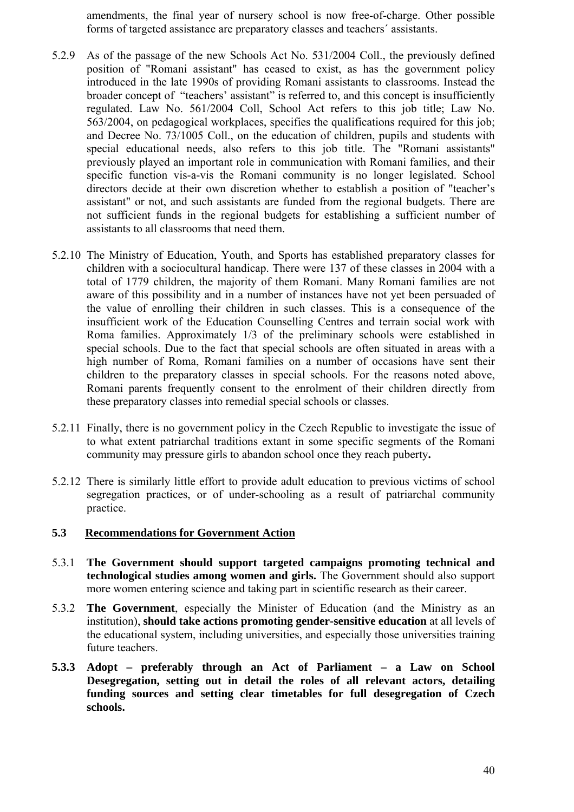amendments, the final year of nursery school is now free-of-charge. Other possible forms of targeted assistance are preparatory classes and teachers´ assistants.

- 5.2.9 As of the passage of the new Schools Act No. 531/2004 Coll., the previously defined position of "Romani assistant" has ceased to exist, as has the government policy introduced in the late 1990s of providing Romani assistants to classrooms. Instead the broader concept of "teachers' assistant" is referred to, and this concept is insufficiently regulated. Law No. 561/2004 Coll, School Act refers to this job title; Law No. 563/2004, on pedagogical workplaces, specifies the qualifications required for this job; and Decree No. 73/1005 Coll., on the education of children, pupils and students with special educational needs, also refers to this job title. The "Romani assistants" previously played an important role in communication with Romani families, and their specific function vis-a-vis the Romani community is no longer legislated. School directors decide at their own discretion whether to establish a position of "teacher's assistant" or not, and such assistants are funded from the regional budgets. There are not sufficient funds in the regional budgets for establishing a sufficient number of assistants to all classrooms that need them.
- 5.2.10 The Ministry of Education, Youth, and Sports has established preparatory classes for children with a sociocultural handicap. There were 137 of these classes in 2004 with a total of 1779 children, the majority of them Romani. Many Romani families are not aware of this possibility and in a number of instances have not yet been persuaded of the value of enrolling their children in such classes. This is a consequence of the insufficient work of the Education Counselling Centres and terrain social work with Roma families. Approximately 1/3 of the preliminary schools were established in special schools. Due to the fact that special schools are often situated in areas with a high number of Roma, Romani families on a number of occasions have sent their children to the preparatory classes in special schools. For the reasons noted above, Romani parents frequently consent to the enrolment of their children directly from these preparatory classes into remedial special schools or classes.
- 5.2.11 Finally, there is no government policy in the Czech Republic to investigate the issue of to what extent patriarchal traditions extant in some specific segments of the Romani community may pressure girls to abandon school once they reach puberty**.**
- 5.2.12 There is similarly little effort to provide adult education to previous victims of school segregation practices, or of under-schooling as a result of patriarchal community practice.

## **5.3 Recommendations for Government Action**

- 5.3.1 **The Government should support targeted campaigns promoting technical and technological studies among women and girls.** The Government should also support more women entering science and taking part in scientific research as their career.
- 5.3.2 **The Government**, especially the Minister of Education (and the Ministry as an institution), **should take actions promoting gender-sensitive education** at all levels of the educational system, including universities, and especially those universities training future teachers.
- **5.3.3 Adopt preferably through an Act of Parliament a Law on School Desegregation, setting out in detail the roles of all relevant actors, detailing funding sources and setting clear timetables for full desegregation of Czech schools.**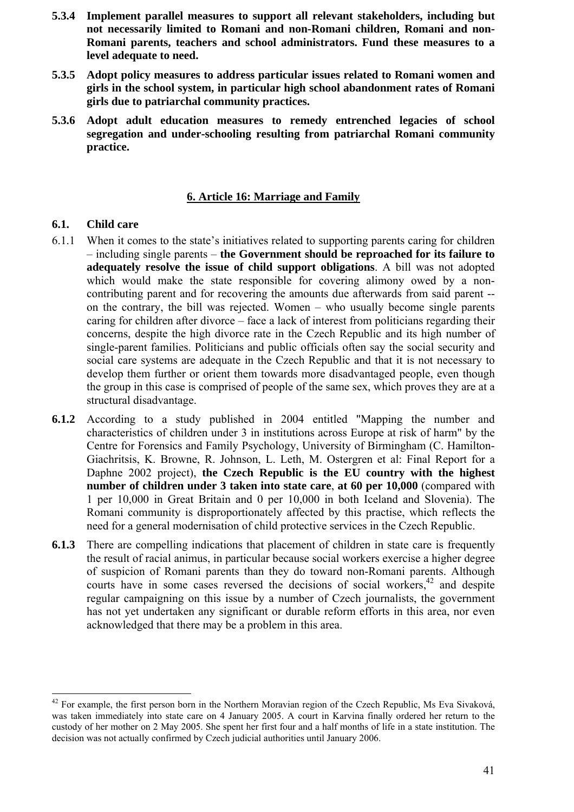- **5.3.4 Implement parallel measures to support all relevant stakeholders, including but not necessarily limited to Romani and non-Romani children, Romani and non-Romani parents, teachers and school administrators. Fund these measures to a level adequate to need.**
- **5.3.5 Adopt policy measures to address particular issues related to Romani women and girls in the school system, in particular high school abandonment rates of Romani girls due to patriarchal community practices.**
- **5.3.6 Adopt adult education measures to remedy entrenched legacies of school segregation and under-schooling resulting from patriarchal Romani community practice.**

# **6. Article 16: Marriage and Family**

## **6.1. Child care**

- 6.1.1 When it comes to the state's initiatives related to supporting parents caring for children – including single parents – **the Government should be reproached for its failure to adequately resolve the issue of child support obligations**. A bill was not adopted which would make the state responsible for covering alimony owed by a noncontributing parent and for recovering the amounts due afterwards from said parent - on the contrary, the bill was rejected. Women – who usually become single parents caring for children after divorce – face a lack of interest from politicians regarding their concerns, despite the high divorce rate in the Czech Republic and its high number of single-parent families. Politicians and public officials often say the social security and social care systems are adequate in the Czech Republic and that it is not necessary to develop them further or orient them towards more disadvantaged people, even though the group in this case is comprised of people of the same sex, which proves they are at a structural disadvantage.
- **6.1.2** According to a study published in 2004 entitled "Mapping the number and characteristics of children under 3 in institutions across Europe at risk of harm" by the Centre for Forensics and Family Psychology, University of Birmingham (C. Hamilton-Giachritsis, K. Browne, R. Johnson, L. Leth, M. Ostergren et al: Final Report for a Daphne 2002 project), **the Czech Republic is the EU country with the highest number of children under 3 taken into state care**, **at 60 per 10,000** (compared with 1 per 10,000 in Great Britain and 0 per 10,000 in both Iceland and Slovenia). The Romani community is disproportionately affected by this practise, which reflects the need for a general modernisation of child protective services in the Czech Republic.
- **6.1.3** There are compelling indications that placement of children in state care is frequently the result of racial animus, in particular because social workers exercise a higher degree of suspicion of Romani parents than they do toward non-Romani parents. Although courts have in some cases reversed the decisions of social workers,<sup>42</sup> and despite regular campaigning on this issue by a number of Czech journalists, the government has not yet undertaken any significant or durable reform efforts in this area, nor even acknowledged that there may be a problem in this area.

<sup>&</sup>lt;sup>42</sup> For example, the first person born in the Northern Moravian region of the Czech Republic, Ms Eva Sivaková, was taken immediately into state care on 4 January 2005. A court in Karvina finally ordered her return to the custody of her mother on 2 May 2005. She spent her first four and a half months of life in a state institution. The decision was not actually confirmed by Czech judicial authorities until January 2006.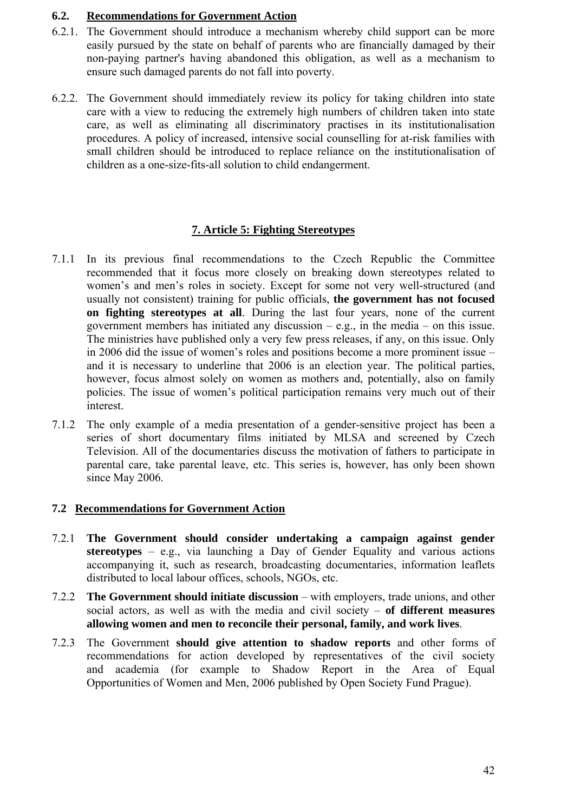## **6.2. Recommendations for Government Action**

- 6.2.1. The Government should introduce a mechanism whereby child support can be more easily pursued by the state on behalf of parents who are financially damaged by their non-paying partner's having abandoned this obligation, as well as a mechanism to ensure such damaged parents do not fall into poverty.
- 6.2.2. The Government should immediately review its policy for taking children into state care with a view to reducing the extremely high numbers of children taken into state care, as well as eliminating all discriminatory practises in its institutionalisation procedures. A policy of increased, intensive social counselling for at-risk families with small children should be introduced to replace reliance on the institutionalisation of children as a one-size-fits-all solution to child endangerment.

# **7. Article 5: Fighting Stereotypes**

- 7.1.1 In its previous final recommendations to the Czech Republic the Committee recommended that it focus more closely on breaking down stereotypes related to women's and men's roles in society. Except for some not very well-structured (and usually not consistent) training for public officials, **the government has not focused on fighting stereotypes at all**. During the last four years, none of the current government members has initiated any discussion  $-$  e.g., in the media  $-$  on this issue. The ministries have published only a very few press releases, if any, on this issue. Only in 2006 did the issue of women's roles and positions become a more prominent issue – and it is necessary to underline that 2006 is an election year. The political parties, however, focus almost solely on women as mothers and, potentially, also on family policies. The issue of women's political participation remains very much out of their interest.
- 7.1.2 The only example of a media presentation of a gender-sensitive project has been a series of short documentary films initiated by MLSA and screened by Czech Television. All of the documentaries discuss the motivation of fathers to participate in parental care, take parental leave, etc. This series is, however, has only been shown since May 2006.

# **7.2 Recommendations for Government Action**

- 7.2.1 **The Government should consider undertaking a campaign against gender stereotypes** – e.g., via launching a Day of Gender Equality and various actions accompanying it, such as research, broadcasting documentaries, information leaflets distributed to local labour offices, schools, NGOs, etc.
- 7.2.2 **The Government should initiate discussion** with employers, trade unions, and other social actors, as well as with the media and civil society – **of different measures allowing women and men to reconcile their personal, family, and work lives**.
- 7.2.3 The Government **should give attention to shadow reports** and other forms of recommendations for action developed by representatives of the civil society and academia (for example to Shadow Report in the Area of Equal Opportunities of Women and Men, 2006 published by Open Society Fund Prague).